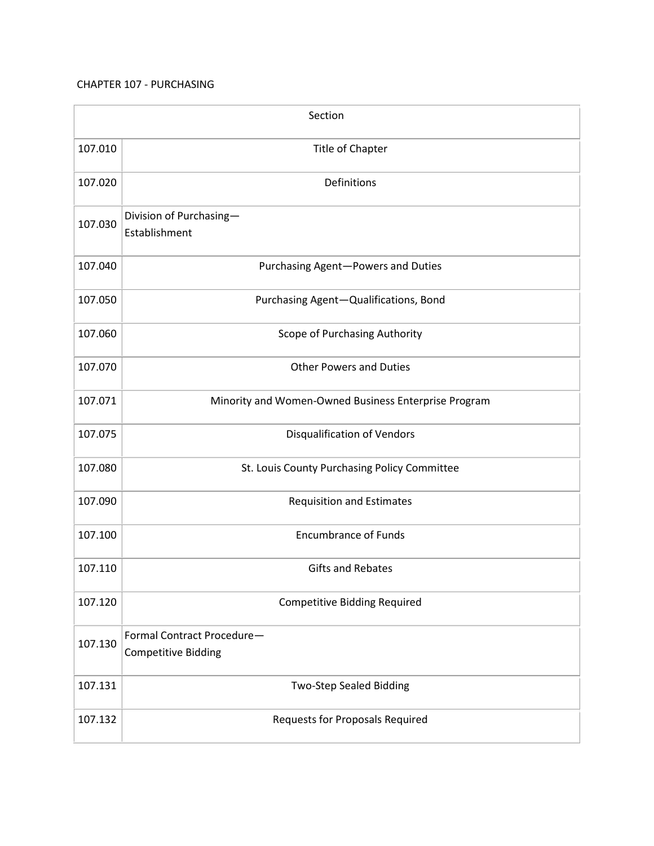## CHAPTER 107 - PURCHASING

| Section |                                                          |  |
|---------|----------------------------------------------------------|--|
| 107.010 | Title of Chapter                                         |  |
| 107.020 | Definitions                                              |  |
| 107.030 | Division of Purchasing-<br>Establishment                 |  |
| 107.040 | Purchasing Agent-Powers and Duties                       |  |
| 107.050 | Purchasing Agent-Qualifications, Bond                    |  |
| 107.060 | Scope of Purchasing Authority                            |  |
| 107.070 | <b>Other Powers and Duties</b>                           |  |
| 107.071 | Minority and Women-Owned Business Enterprise Program     |  |
| 107.075 | <b>Disqualification of Vendors</b>                       |  |
| 107.080 | St. Louis County Purchasing Policy Committee             |  |
| 107.090 | <b>Requisition and Estimates</b>                         |  |
| 107.100 | <b>Encumbrance of Funds</b>                              |  |
| 107.110 | <b>Gifts and Rebates</b>                                 |  |
| 107.120 | <b>Competitive Bidding Required</b>                      |  |
| 107.130 | Formal Contract Procedure-<br><b>Competitive Bidding</b> |  |
| 107.131 | <b>Two-Step Sealed Bidding</b>                           |  |
| 107.132 | <b>Requests for Proposals Required</b>                   |  |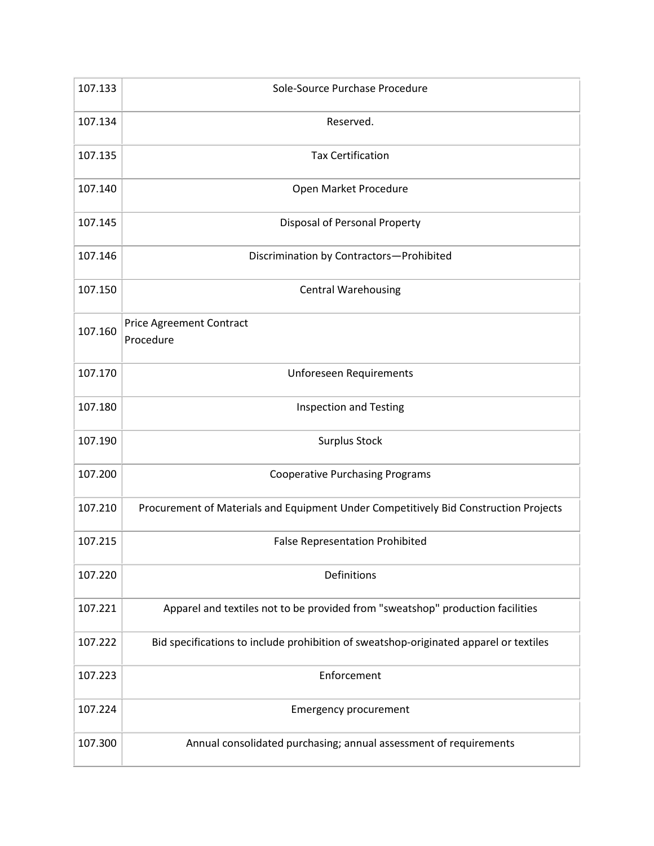| 107.133 | Sole-Source Purchase Procedure                                                        |
|---------|---------------------------------------------------------------------------------------|
| 107.134 | Reserved.                                                                             |
| 107.135 | <b>Tax Certification</b>                                                              |
| 107.140 | Open Market Procedure                                                                 |
| 107.145 | Disposal of Personal Property                                                         |
| 107.146 | Discrimination by Contractors-Prohibited                                              |
| 107.150 | <b>Central Warehousing</b>                                                            |
| 107.160 | <b>Price Agreement Contract</b><br>Procedure                                          |
| 107.170 | <b>Unforeseen Requirements</b>                                                        |
| 107.180 | <b>Inspection and Testing</b>                                                         |
| 107.190 | <b>Surplus Stock</b>                                                                  |
| 107.200 | <b>Cooperative Purchasing Programs</b>                                                |
| 107.210 | Procurement of Materials and Equipment Under Competitively Bid Construction Projects  |
| 107.215 | <b>False Representation Prohibited</b>                                                |
| 107.220 | Definitions                                                                           |
| 107.221 | Apparel and textiles not to be provided from "sweatshop" production facilities        |
| 107.222 | Bid specifications to include prohibition of sweatshop-originated apparel or textiles |
| 107.223 | Enforcement                                                                           |
| 107.224 | <b>Emergency procurement</b>                                                          |
| 107.300 | Annual consolidated purchasing; annual assessment of requirements                     |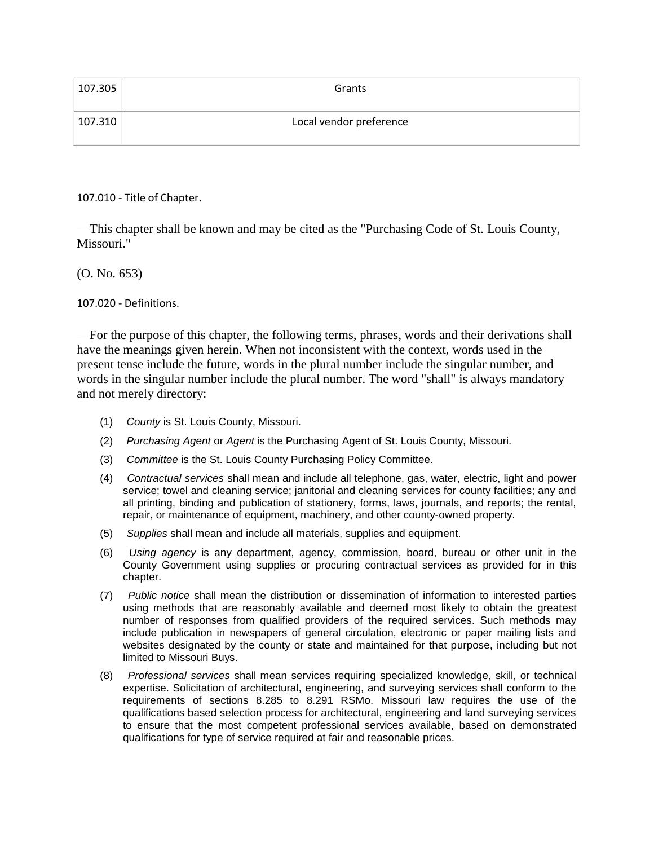| 107.305 | Grants                  |
|---------|-------------------------|
| 107.310 | Local vendor preference |

107.010 - Title of Chapter.

—This chapter shall be known and may be cited as the "Purchasing Code of St. Louis County, Missouri."

(O. No. 653)

107.020 - Definitions.

—For the purpose of this chapter, the following terms, phrases, words and their derivations shall have the meanings given herein. When not inconsistent with the context, words used in the present tense include the future, words in the plural number include the singular number, and words in the singular number include the plural number. The word "shall" is always mandatory and not merely directory:

- (1) *County* is St. Louis County, Missouri.
- (2) *Purchasing Agent* or *Agent* is the Purchasing Agent of St. Louis County, Missouri.
- (3) *Committee* is the St. Louis County Purchasing Policy Committee.
- (4) *Contractual services* shall mean and include all telephone, gas, water, electric, light and power service; towel and cleaning service; janitorial and cleaning services for county facilities; any and all printing, binding and publication of stationery, forms, laws, journals, and reports; the rental, repair, or maintenance of equipment, machinery, and other county-owned property.
- (5) *Supplies* shall mean and include all materials, supplies and equipment.
- (6) *Using agency* is any department, agency, commission, board, bureau or other unit in the County Government using supplies or procuring contractual services as provided for in this chapter.
- (7) *Public notice* shall mean the distribution or dissemination of information to interested parties using methods that are reasonably available and deemed most likely to obtain the greatest number of responses from qualified providers of the required services. Such methods may include publication in newspapers of general circulation, electronic or paper mailing lists and websites designated by the county or state and maintained for that purpose, including but not limited to Missouri Buys.
- (8) *Professional services* shall mean services requiring specialized knowledge, skill, or technical expertise. Solicitation of architectural, engineering, and surveying services shall conform to the requirements of sections 8.285 to 8.291 RSMo. Missouri law requires the use of the qualifications based selection process for architectural, engineering and land surveying services to ensure that the most competent professional services available, based on demonstrated qualifications for type of service required at fair and reasonable prices.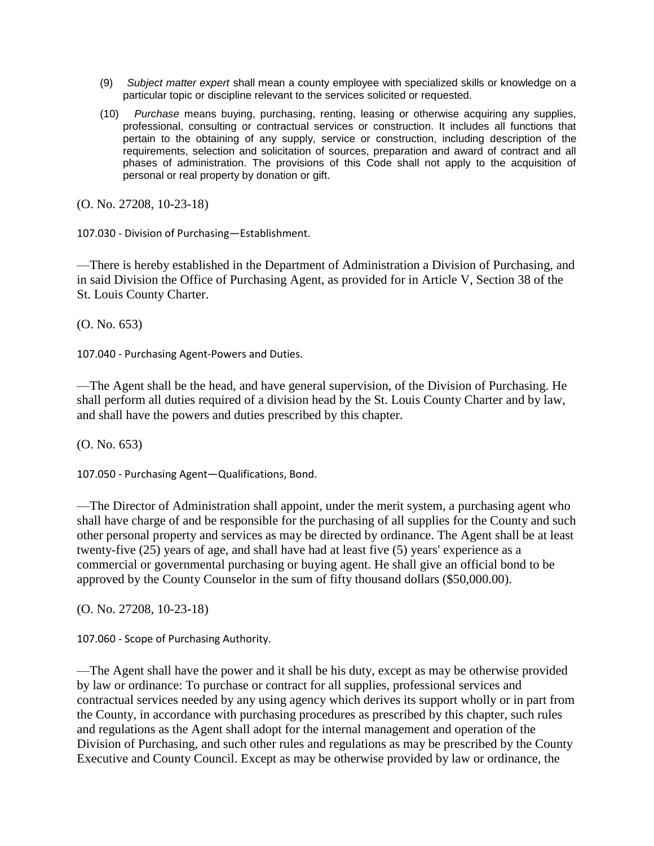- (9) *Subject matter expert* shall mean a county employee with specialized skills or knowledge on a particular topic or discipline relevant to the services solicited or requested.
- (10) *Purchase* means buying, purchasing, renting, leasing or otherwise acquiring any supplies, professional, consulting or contractual services or construction. It includes all functions that pertain to the obtaining of any supply, service or construction, including description of the requirements, selection and solicitation of sources, preparation and award of contract and all phases of administration. The provisions of this Code shall not apply to the acquisition of personal or real property by donation or gift.

(O. No. 27208, 10-23-18)

107.030 - Division of Purchasing—Establishment.

—There is hereby established in the Department of Administration a Division of Purchasing, and in said Division the Office of Purchasing Agent, as provided for in Article V, Section 38 of the St. Louis County Charter.

(O. No. 653)

107.040 - Purchasing Agent-Powers and Duties.

—The Agent shall be the head, and have general supervision, of the Division of Purchasing. He shall perform all duties required of a division head by the St. Louis County Charter and by law, and shall have the powers and duties prescribed by this chapter.

(O. No. 653)

107.050 - Purchasing Agent—Qualifications, Bond.

—The Director of Administration shall appoint, under the merit system, a purchasing agent who shall have charge of and be responsible for the purchasing of all supplies for the County and such other personal property and services as may be directed by ordinance. The Agent shall be at least twenty-five (25) years of age, and shall have had at least five (5) years' experience as a commercial or governmental purchasing or buying agent. He shall give an official bond to be approved by the County Counselor in the sum of fifty thousand dollars (\$50,000.00).

(O. No. 27208, 10-23-18)

107.060 - Scope of Purchasing Authority.

—The Agent shall have the power and it shall be his duty, except as may be otherwise provided by law or ordinance: To purchase or contract for all supplies, professional services and contractual services needed by any using agency which derives its support wholly or in part from the County, in accordance with purchasing procedures as prescribed by this chapter, such rules and regulations as the Agent shall adopt for the internal management and operation of the Division of Purchasing, and such other rules and regulations as may be prescribed by the County Executive and County Council. Except as may be otherwise provided by law or ordinance, the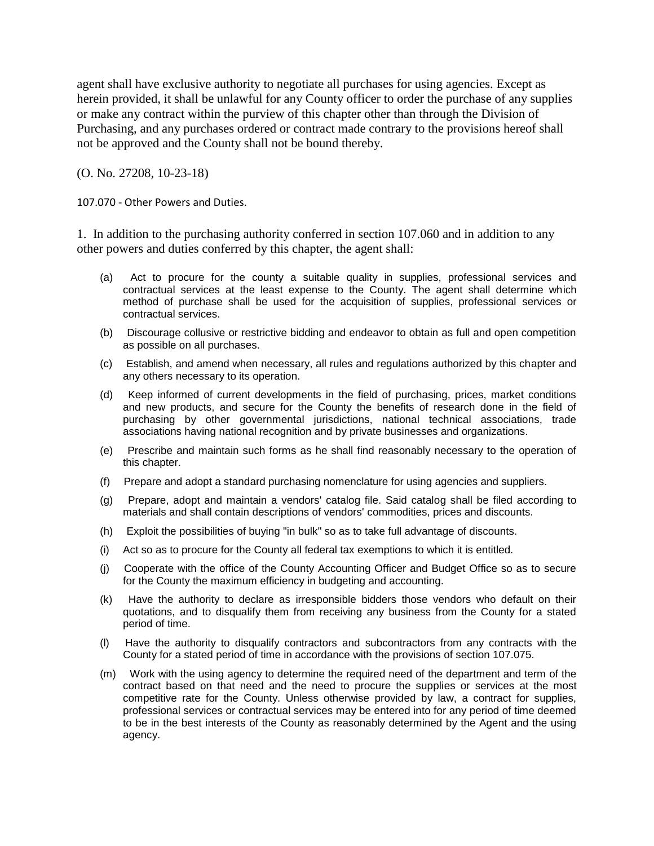agent shall have exclusive authority to negotiate all purchases for using agencies. Except as herein provided, it shall be unlawful for any County officer to order the purchase of any supplies or make any contract within the purview of this chapter other than through the Division of Purchasing, and any purchases ordered or contract made contrary to the provisions hereof shall not be approved and the County shall not be bound thereby.

(O. No. 27208, 10-23-18)

107.070 - Other Powers and Duties.

1. In addition to the purchasing authority conferred in section 107.060 and in addition to any other powers and duties conferred by this chapter, the agent shall:

- (a) Act to procure for the county a suitable quality in supplies, professional services and contractual services at the least expense to the County. The agent shall determine which method of purchase shall be used for the acquisition of supplies, professional services or contractual services.
- (b) Discourage collusive or restrictive bidding and endeavor to obtain as full and open competition as possible on all purchases.
- (c) Establish, and amend when necessary, all rules and regulations authorized by this chapter and any others necessary to its operation.
- (d) Keep informed of current developments in the field of purchasing, prices, market conditions and new products, and secure for the County the benefits of research done in the field of purchasing by other governmental jurisdictions, national technical associations, trade associations having national recognition and by private businesses and organizations.
- (e) Prescribe and maintain such forms as he shall find reasonably necessary to the operation of this chapter.
- (f) Prepare and adopt a standard purchasing nomenclature for using agencies and suppliers.
- (g) Prepare, adopt and maintain a vendors' catalog file. Said catalog shall be filed according to materials and shall contain descriptions of vendors' commodities, prices and discounts.
- (h) Exploit the possibilities of buying "in bulk" so as to take full advantage of discounts.
- (i) Act so as to procure for the County all federal tax exemptions to which it is entitled.
- (j) Cooperate with the office of the County Accounting Officer and Budget Office so as to secure for the County the maximum efficiency in budgeting and accounting.
- (k) Have the authority to declare as irresponsible bidders those vendors who default on their quotations, and to disqualify them from receiving any business from the County for a stated period of time.
- (l) Have the authority to disqualify contractors and subcontractors from any contracts with the County for a stated period of time in accordance with the provisions of section 107.075.
- (m) Work with the using agency to determine the required need of the department and term of the contract based on that need and the need to procure the supplies or services at the most competitive rate for the County. Unless otherwise provided by law, a contract for supplies, professional services or contractual services may be entered into for any period of time deemed to be in the best interests of the County as reasonably determined by the Agent and the using agency.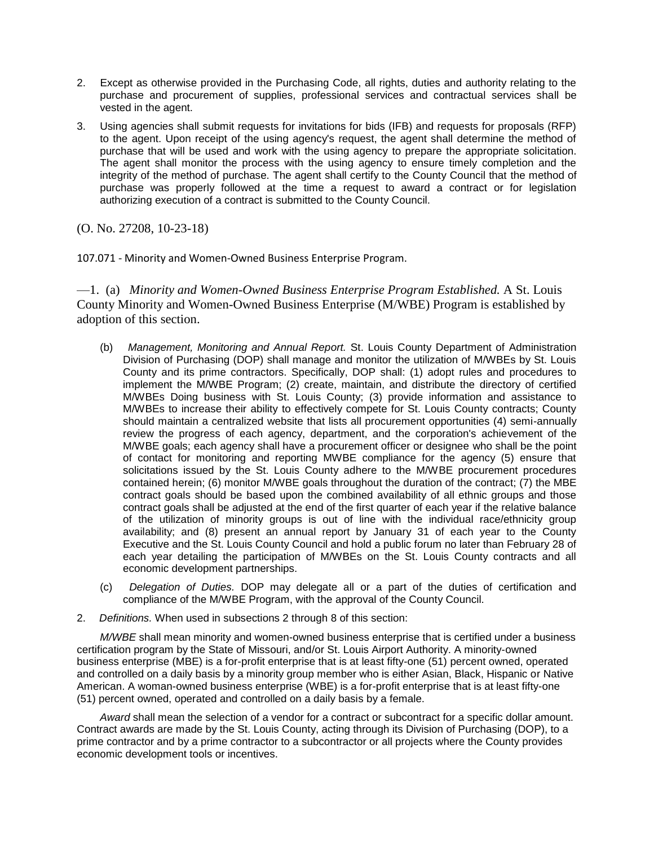- 2. Except as otherwise provided in the Purchasing Code, all rights, duties and authority relating to the purchase and procurement of supplies, professional services and contractual services shall be vested in the agent.
- 3. Using agencies shall submit requests for invitations for bids (IFB) and requests for proposals (RFP) to the agent. Upon receipt of the using agency's request, the agent shall determine the method of purchase that will be used and work with the using agency to prepare the appropriate solicitation. The agent shall monitor the process with the using agency to ensure timely completion and the integrity of the method of purchase. The agent shall certify to the County Council that the method of purchase was properly followed at the time a request to award a contract or for legislation authorizing execution of a contract is submitted to the County Council.

(O. No. 27208, 10-23-18)

107.071 - Minority and Women-Owned Business Enterprise Program.

—1. (a) *Minority and Women-Owned Business Enterprise Program Established.* A St. Louis County Minority and Women-Owned Business Enterprise (M/WBE) Program is established by adoption of this section.

- (b) *Management, Monitoring and Annual Report.* St. Louis County Department of Administration Division of Purchasing (DOP) shall manage and monitor the utilization of M/WBEs by St. Louis County and its prime contractors. Specifically, DOP shall: (1) adopt rules and procedures to implement the M/WBE Program; (2) create, maintain, and distribute the directory of certified M/WBEs Doing business with St. Louis County; (3) provide information and assistance to M/WBEs to increase their ability to effectively compete for St. Louis County contracts; County should maintain a centralized website that lists all procurement opportunities (4) semi-annually review the progress of each agency, department, and the corporation's achievement of the M/WBE goals; each agency shall have a procurement officer or designee who shall be the point of contact for monitoring and reporting MWBE compliance for the agency (5) ensure that solicitations issued by the St. Louis County adhere to the M/WBE procurement procedures contained herein; (6) monitor M/WBE goals throughout the duration of the contract; (7) the MBE contract goals should be based upon the combined availability of all ethnic groups and those contract goals shall be adjusted at the end of the first quarter of each year if the relative balance of the utilization of minority groups is out of line with the individual race/ethnicity group availability; and (8) present an annual report by January 31 of each year to the County Executive and the St. Louis County Council and hold a public forum no later than February 28 of each year detailing the participation of M/WBEs on the St. Louis County contracts and all economic development partnerships.
- (c) *Delegation of Duties.* DOP may delegate all or a part of the duties of certification and compliance of the M/WBE Program, with the approval of the County Council.
- 2. *Definitions.* When used in subsections 2 through 8 of this section:

*M/WBE* shall mean minority and women-owned business enterprise that is certified under a business certification program by the State of Missouri, and/or St. Louis Airport Authority. A minority-owned business enterprise (MBE) is a for-profit enterprise that is at least fifty-one (51) percent owned, operated and controlled on a daily basis by a minority group member who is either Asian, Black, Hispanic or Native American. A woman-owned business enterprise (WBE) is a for-profit enterprise that is at least fifty-one (51) percent owned, operated and controlled on a daily basis by a female.

*Award* shall mean the selection of a vendor for a contract or subcontract for a specific dollar amount. Contract awards are made by the St. Louis County, acting through its Division of Purchasing (DOP), to a prime contractor and by a prime contractor to a subcontractor or all projects where the County provides economic development tools or incentives.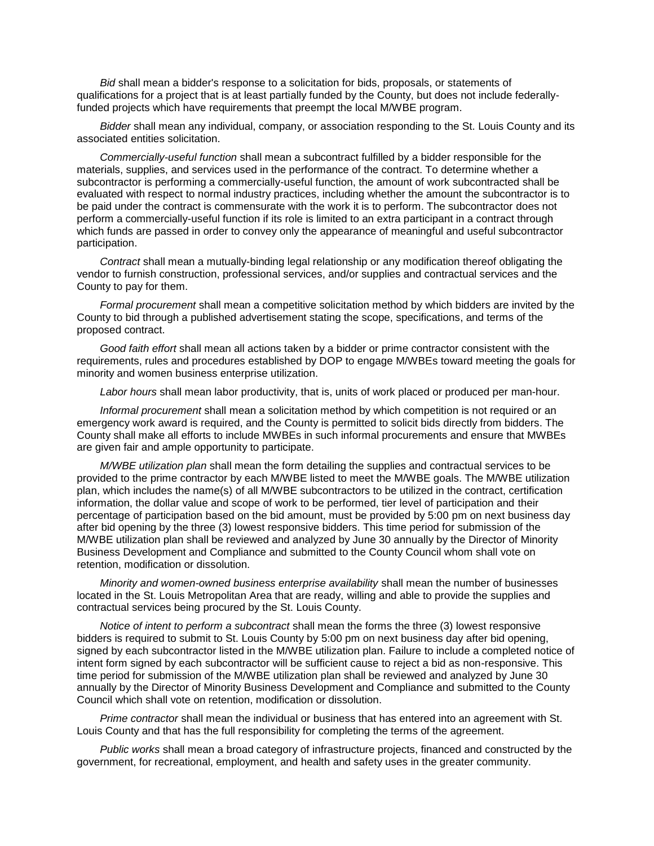*Bid* shall mean a bidder's response to a solicitation for bids, proposals, or statements of qualifications for a project that is at least partially funded by the County, but does not include federallyfunded projects which have requirements that preempt the local M/WBE program.

*Bidder* shall mean any individual, company, or association responding to the St. Louis County and its associated entities solicitation.

*Commercially-useful function* shall mean a subcontract fulfilled by a bidder responsible for the materials, supplies, and services used in the performance of the contract. To determine whether a subcontractor is performing a commercially-useful function, the amount of work subcontracted shall be evaluated with respect to normal industry practices, including whether the amount the subcontractor is to be paid under the contract is commensurate with the work it is to perform. The subcontractor does not perform a commercially-useful function if its role is limited to an extra participant in a contract through which funds are passed in order to convey only the appearance of meaningful and useful subcontractor participation.

*Contract* shall mean a mutually-binding legal relationship or any modification thereof obligating the vendor to furnish construction, professional services, and/or supplies and contractual services and the County to pay for them.

*Formal procurement* shall mean a competitive solicitation method by which bidders are invited by the County to bid through a published advertisement stating the scope, specifications, and terms of the proposed contract.

*Good faith effort* shall mean all actions taken by a bidder or prime contractor consistent with the requirements, rules and procedures established by DOP to engage M/WBEs toward meeting the goals for minority and women business enterprise utilization.

*Labor hours* shall mean labor productivity, that is, units of work placed or produced per man-hour.

*Informal procurement* shall mean a solicitation method by which competition is not required or an emergency work award is required, and the County is permitted to solicit bids directly from bidders. The County shall make all efforts to include MWBEs in such informal procurements and ensure that MWBEs are given fair and ample opportunity to participate.

*M/WBE utilization plan* shall mean the form detailing the supplies and contractual services to be provided to the prime contractor by each M/WBE listed to meet the M/WBE goals. The M/WBE utilization plan, which includes the name(s) of all M/WBE subcontractors to be utilized in the contract, certification information, the dollar value and scope of work to be performed, tier level of participation and their percentage of participation based on the bid amount, must be provided by 5:00 pm on next business day after bid opening by the three (3) lowest responsive bidders. This time period for submission of the M/WBE utilization plan shall be reviewed and analyzed by June 30 annually by the Director of Minority Business Development and Compliance and submitted to the County Council whom shall vote on retention, modification or dissolution.

*Minority and women-owned business enterprise availability* shall mean the number of businesses located in the St. Louis Metropolitan Area that are ready, willing and able to provide the supplies and contractual services being procured by the St. Louis County.

*Notice of intent to perform a subcontract* shall mean the forms the three (3) lowest responsive bidders is required to submit to St. Louis County by 5:00 pm on next business day after bid opening, signed by each subcontractor listed in the M/WBE utilization plan. Failure to include a completed notice of intent form signed by each subcontractor will be sufficient cause to reject a bid as non-responsive. This time period for submission of the M/WBE utilization plan shall be reviewed and analyzed by June 30 annually by the Director of Minority Business Development and Compliance and submitted to the County Council which shall vote on retention, modification or dissolution.

*Prime contractor* shall mean the individual or business that has entered into an agreement with St. Louis County and that has the full responsibility for completing the terms of the agreement.

*Public works* shall mean a broad category of infrastructure projects, financed and constructed by the government, for recreational, employment, and health and safety uses in the greater community.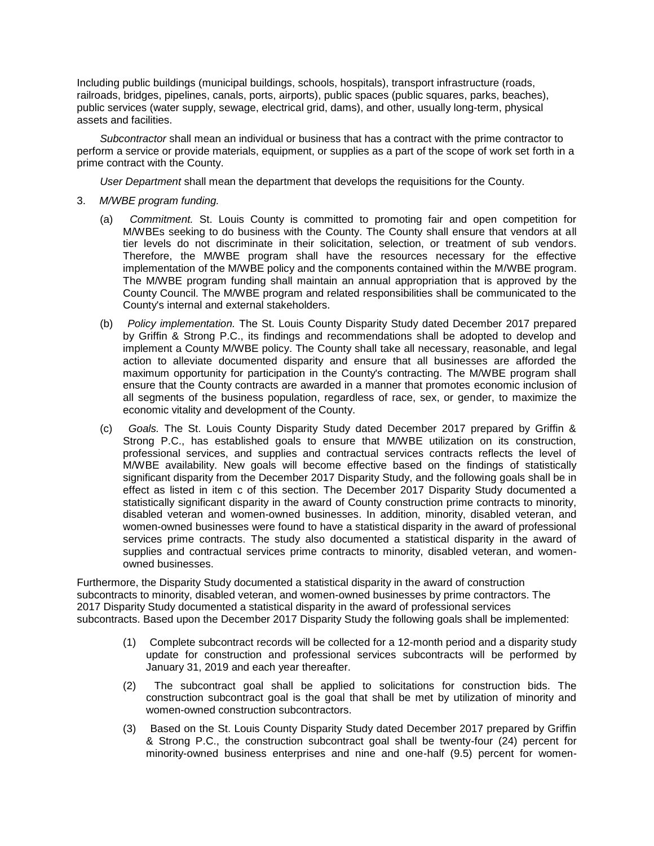Including public buildings (municipal buildings, schools, hospitals), transport infrastructure (roads, railroads, bridges, pipelines, canals, ports, airports), public spaces (public squares, parks, beaches), public services (water supply, sewage, electrical grid, dams), and other, usually long-term, physical assets and facilities.

*Subcontractor* shall mean an individual or business that has a contract with the prime contractor to perform a service or provide materials, equipment, or supplies as a part of the scope of work set forth in a prime contract with the County.

*User Department* shall mean the department that develops the requisitions for the County.

- 3. *M/WBE program funding.*
	- (a) *Commitment.* St. Louis County is committed to promoting fair and open competition for M/WBEs seeking to do business with the County. The County shall ensure that vendors at all tier levels do not discriminate in their solicitation, selection, or treatment of sub vendors. Therefore, the M/WBE program shall have the resources necessary for the effective implementation of the M/WBE policy and the components contained within the M/WBE program. The M/WBE program funding shall maintain an annual appropriation that is approved by the County Council. The M/WBE program and related responsibilities shall be communicated to the County's internal and external stakeholders.
	- (b) *Policy implementation.* The St. Louis County Disparity Study dated December 2017 prepared by Griffin & Strong P.C., its findings and recommendations shall be adopted to develop and implement a County M/WBE policy. The County shall take all necessary, reasonable, and legal action to alleviate documented disparity and ensure that all businesses are afforded the maximum opportunity for participation in the County's contracting. The M/WBE program shall ensure that the County contracts are awarded in a manner that promotes economic inclusion of all segments of the business population, regardless of race, sex, or gender, to maximize the economic vitality and development of the County.
	- (c) *Goals.* The St. Louis County Disparity Study dated December 2017 prepared by Griffin & Strong P.C., has established goals to ensure that M/WBE utilization on its construction, professional services, and supplies and contractual services contracts reflects the level of M/WBE availability. New goals will become effective based on the findings of statistically significant disparity from the December 2017 Disparity Study, and the following goals shall be in effect as listed in item c of this section. The December 2017 Disparity Study documented a statistically significant disparity in the award of County construction prime contracts to minority, disabled veteran and women-owned businesses. In addition, minority, disabled veteran, and women-owned businesses were found to have a statistical disparity in the award of professional services prime contracts. The study also documented a statistical disparity in the award of supplies and contractual services prime contracts to minority, disabled veteran, and womenowned businesses.

Furthermore, the Disparity Study documented a statistical disparity in the award of construction subcontracts to minority, disabled veteran, and women-owned businesses by prime contractors. The 2017 Disparity Study documented a statistical disparity in the award of professional services subcontracts. Based upon the December 2017 Disparity Study the following goals shall be implemented:

- (1) Complete subcontract records will be collected for a 12-month period and a disparity study update for construction and professional services subcontracts will be performed by January 31, 2019 and each year thereafter.
- (2) The subcontract goal shall be applied to solicitations for construction bids. The construction subcontract goal is the goal that shall be met by utilization of minority and women-owned construction subcontractors.
- (3) Based on the St. Louis County Disparity Study dated December 2017 prepared by Griffin & Strong P.C., the construction subcontract goal shall be twenty-four (24) percent for minority-owned business enterprises and nine and one-half (9.5) percent for women-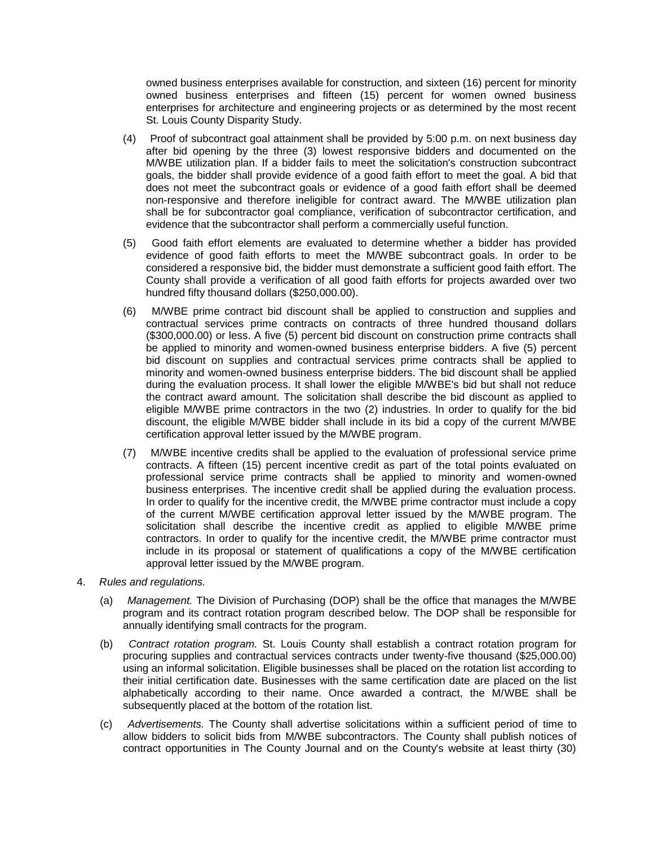owned business enterprises available for construction, and sixteen (16) percent for minority owned business enterprises and fifteen (15) percent for women owned business enterprises for architecture and engineering projects or as determined by the most recent St. Louis County Disparity Study.

- (4) Proof of subcontract goal attainment shall be provided by 5:00 p.m. on next business day after bid opening by the three (3) lowest responsive bidders and documented on the M/WBE utilization plan. If a bidder fails to meet the solicitation's construction subcontract goals, the bidder shall provide evidence of a good faith effort to meet the goal. A bid that does not meet the subcontract goals or evidence of a good faith effort shall be deemed non-responsive and therefore ineligible for contract award. The M/WBE utilization plan shall be for subcontractor goal compliance, verification of subcontractor certification, and evidence that the subcontractor shall perform a commercially useful function.
- (5) Good faith effort elements are evaluated to determine whether a bidder has provided evidence of good faith efforts to meet the M/WBE subcontract goals. In order to be considered a responsive bid, the bidder must demonstrate a sufficient good faith effort. The County shall provide a verification of all good faith efforts for projects awarded over two hundred fifty thousand dollars (\$250,000.00).
- (6) M/WBE prime contract bid discount shall be applied to construction and supplies and contractual services prime contracts on contracts of three hundred thousand dollars (\$300,000.00) or less. A five (5) percent bid discount on construction prime contracts shall be applied to minority and women-owned business enterprise bidders. A five (5) percent bid discount on supplies and contractual services prime contracts shall be applied to minority and women-owned business enterprise bidders. The bid discount shall be applied during the evaluation process. It shall lower the eligible M/WBE's bid but shall not reduce the contract award amount. The solicitation shall describe the bid discount as applied to eligible M/WBE prime contractors in the two (2) industries. In order to qualify for the bid discount, the eligible M/WBE bidder shall include in its bid a copy of the current M/WBE certification approval letter issued by the M/WBE program.
- (7) M/WBE incentive credits shall be applied to the evaluation of professional service prime contracts. A fifteen (15) percent incentive credit as part of the total points evaluated on professional service prime contracts shall be applied to minority and women-owned business enterprises. The incentive credit shall be applied during the evaluation process. In order to qualify for the incentive credit, the M/WBE prime contractor must include a copy of the current M/WBE certification approval letter issued by the M/WBE program. The solicitation shall describe the incentive credit as applied to eligible M/WBE prime contractors. In order to qualify for the incentive credit, the M/WBE prime contractor must include in its proposal or statement of qualifications a copy of the M/WBE certification approval letter issued by the M/WBE program.
- 4. *Rules and regulations.*
	- (a) *Management.* The Division of Purchasing (DOP) shall be the office that manages the M/WBE program and its contract rotation program described below. The DOP shall be responsible for annually identifying small contracts for the program.
	- (b) *Contract rotation program.* St. Louis County shall establish a contract rotation program for procuring supplies and contractual services contracts under twenty-five thousand (\$25,000.00) using an informal solicitation. Eligible businesses shall be placed on the rotation list according to their initial certification date. Businesses with the same certification date are placed on the list alphabetically according to their name. Once awarded a contract, the M/WBE shall be subsequently placed at the bottom of the rotation list.
	- (c) *Advertisements.* The County shall advertise solicitations within a sufficient period of time to allow bidders to solicit bids from M/WBE subcontractors. The County shall publish notices of contract opportunities in The County Journal and on the County's website at least thirty (30)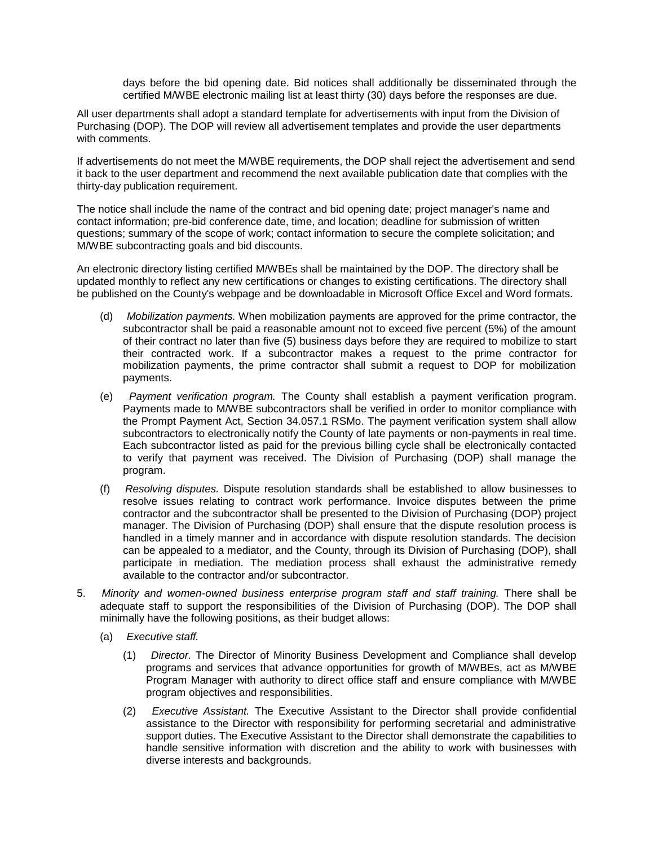days before the bid opening date. Bid notices shall additionally be disseminated through the certified M/WBE electronic mailing list at least thirty (30) days before the responses are due.

All user departments shall adopt a standard template for advertisements with input from the Division of Purchasing (DOP). The DOP will review all advertisement templates and provide the user departments with comments.

If advertisements do not meet the M/WBE requirements, the DOP shall reject the advertisement and send it back to the user department and recommend the next available publication date that complies with the thirty-day publication requirement.

The notice shall include the name of the contract and bid opening date; project manager's name and contact information; pre-bid conference date, time, and location; deadline for submission of written questions; summary of the scope of work; contact information to secure the complete solicitation; and M/WBE subcontracting goals and bid discounts.

An electronic directory listing certified M/WBEs shall be maintained by the DOP. The directory shall be updated monthly to reflect any new certifications or changes to existing certifications. The directory shall be published on the County's webpage and be downloadable in Microsoft Office Excel and Word formats.

- (d) *Mobilization payments.* When mobilization payments are approved for the prime contractor, the subcontractor shall be paid a reasonable amount not to exceed five percent (5%) of the amount of their contract no later than five (5) business days before they are required to mobilize to start their contracted work. If a subcontractor makes a request to the prime contractor for mobilization payments, the prime contractor shall submit a request to DOP for mobilization payments.
- (e) *Payment verification program.* The County shall establish a payment verification program. Payments made to M/WBE subcontractors shall be verified in order to monitor compliance with the Prompt Payment Act, Section 34.057.1 RSMo. The payment verification system shall allow subcontractors to electronically notify the County of late payments or non-payments in real time. Each subcontractor listed as paid for the previous billing cycle shall be electronically contacted to verify that payment was received. The Division of Purchasing (DOP) shall manage the program.
- (f) *Resolving disputes.* Dispute resolution standards shall be established to allow businesses to resolve issues relating to contract work performance. Invoice disputes between the prime contractor and the subcontractor shall be presented to the Division of Purchasing (DOP) project manager. The Division of Purchasing (DOP) shall ensure that the dispute resolution process is handled in a timely manner and in accordance with dispute resolution standards. The decision can be appealed to a mediator, and the County, through its Division of Purchasing (DOP), shall participate in mediation. The mediation process shall exhaust the administrative remedy available to the contractor and/or subcontractor.
- 5. *Minority and women-owned business enterprise program staff and staff training.* There shall be adequate staff to support the responsibilities of the Division of Purchasing (DOP). The DOP shall minimally have the following positions, as their budget allows:
	- (a) *Executive staff.*
		- (1) *Director.* The Director of Minority Business Development and Compliance shall develop programs and services that advance opportunities for growth of M/WBEs, act as M/WBE Program Manager with authority to direct office staff and ensure compliance with M/WBE program objectives and responsibilities.
		- (2) *Executive Assistant.* The Executive Assistant to the Director shall provide confidential assistance to the Director with responsibility for performing secretarial and administrative support duties. The Executive Assistant to the Director shall demonstrate the capabilities to handle sensitive information with discretion and the ability to work with businesses with diverse interests and backgrounds.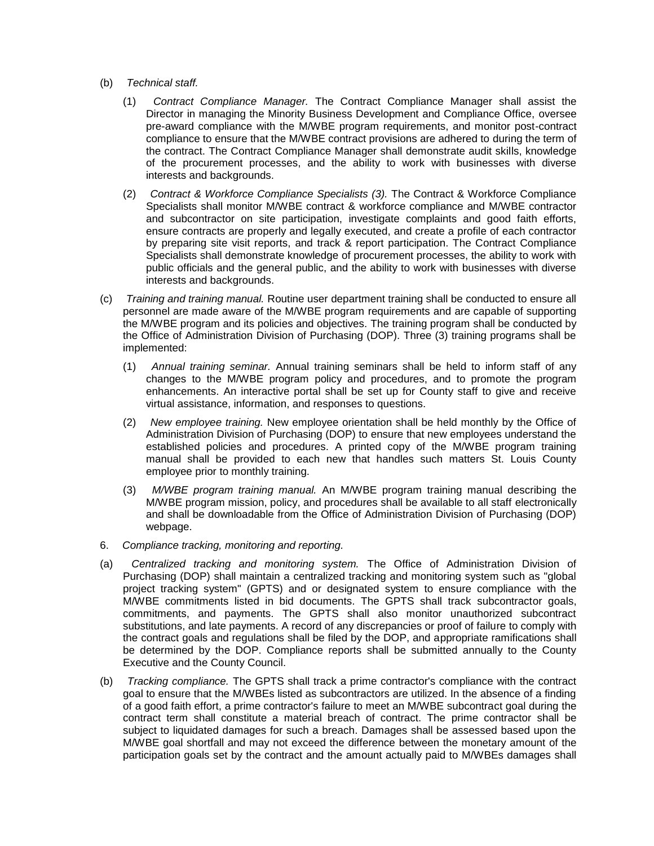- (b) *Technical staff.*
	- (1) *Contract Compliance Manager.* The Contract Compliance Manager shall assist the Director in managing the Minority Business Development and Compliance Office, oversee pre-award compliance with the M/WBE program requirements, and monitor post-contract compliance to ensure that the M/WBE contract provisions are adhered to during the term of the contract. The Contract Compliance Manager shall demonstrate audit skills, knowledge of the procurement processes, and the ability to work with businesses with diverse interests and backgrounds.
	- (2) *Contract & Workforce Compliance Specialists (3).* The Contract & Workforce Compliance Specialists shall monitor M/WBE contract & workforce compliance and M/WBE contractor and subcontractor on site participation, investigate complaints and good faith efforts, ensure contracts are properly and legally executed, and create a profile of each contractor by preparing site visit reports, and track & report participation. The Contract Compliance Specialists shall demonstrate knowledge of procurement processes, the ability to work with public officials and the general public, and the ability to work with businesses with diverse interests and backgrounds.
- (c) *Training and training manual.* Routine user department training shall be conducted to ensure all personnel are made aware of the M/WBE program requirements and are capable of supporting the M/WBE program and its policies and objectives. The training program shall be conducted by the Office of Administration Division of Purchasing (DOP). Three (3) training programs shall be implemented:
	- (1) *Annual training seminar.* Annual training seminars shall be held to inform staff of any changes to the M/WBE program policy and procedures, and to promote the program enhancements. An interactive portal shall be set up for County staff to give and receive virtual assistance, information, and responses to questions.
	- (2) *New employee training.* New employee orientation shall be held monthly by the Office of Administration Division of Purchasing (DOP) to ensure that new employees understand the established policies and procedures. A printed copy of the M/WBE program training manual shall be provided to each new that handles such matters St. Louis County employee prior to monthly training.
	- (3) *M/WBE program training manual.* An M/WBE program training manual describing the M/WBE program mission, policy, and procedures shall be available to all staff electronically and shall be downloadable from the Office of Administration Division of Purchasing (DOP) webpage.
- 6. *Compliance tracking, monitoring and reporting.*
- (a) *Centralized tracking and monitoring system.* The Office of Administration Division of Purchasing (DOP) shall maintain a centralized tracking and monitoring system such as "global project tracking system" (GPTS) and or designated system to ensure compliance with the M/WBE commitments listed in bid documents. The GPTS shall track subcontractor goals, commitments, and payments. The GPTS shall also monitor unauthorized subcontract substitutions, and late payments. A record of any discrepancies or proof of failure to comply with the contract goals and regulations shall be filed by the DOP, and appropriate ramifications shall be determined by the DOP. Compliance reports shall be submitted annually to the County Executive and the County Council.
- (b) *Tracking compliance.* The GPTS shall track a prime contractor's compliance with the contract goal to ensure that the M/WBEs listed as subcontractors are utilized. In the absence of a finding of a good faith effort, a prime contractor's failure to meet an M/WBE subcontract goal during the contract term shall constitute a material breach of contract. The prime contractor shall be subject to liquidated damages for such a breach. Damages shall be assessed based upon the M/WBE goal shortfall and may not exceed the difference between the monetary amount of the participation goals set by the contract and the amount actually paid to M/WBEs damages shall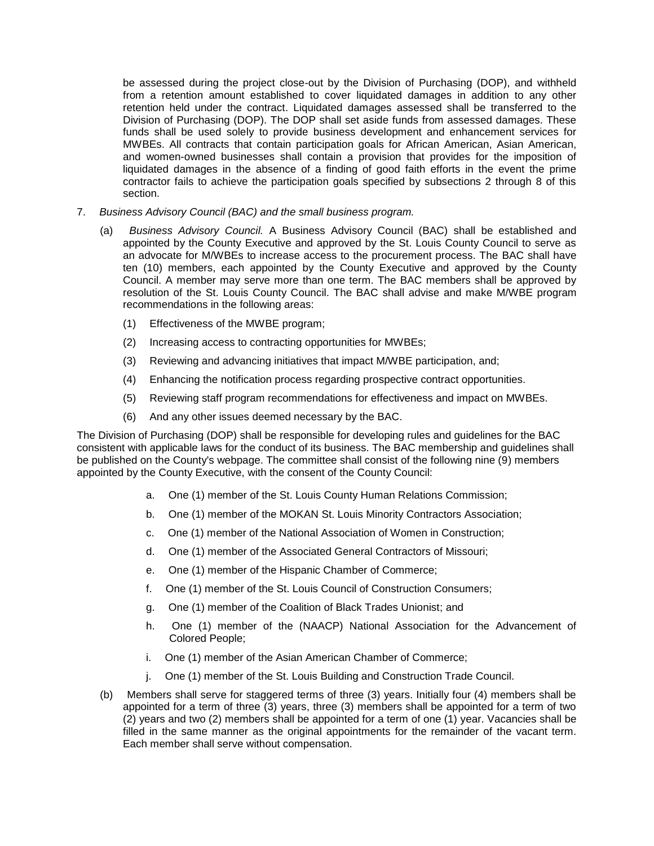be assessed during the project close-out by the Division of Purchasing (DOP), and withheld from a retention amount established to cover liquidated damages in addition to any other retention held under the contract. Liquidated damages assessed shall be transferred to the Division of Purchasing (DOP). The DOP shall set aside funds from assessed damages. These funds shall be used solely to provide business development and enhancement services for MWBEs. All contracts that contain participation goals for African American, Asian American, and women-owned businesses shall contain a provision that provides for the imposition of liquidated damages in the absence of a finding of good faith efforts in the event the prime contractor fails to achieve the participation goals specified by subsections 2 through 8 of this section.

- 7. *Business Advisory Council (BAC) and the small business program.*
	- (a) *Business Advisory Council.* A Business Advisory Council (BAC) shall be established and appointed by the County Executive and approved by the St. Louis County Council to serve as an advocate for M/WBEs to increase access to the procurement process. The BAC shall have ten (10) members, each appointed by the County Executive and approved by the County Council. A member may serve more than one term. The BAC members shall be approved by resolution of the St. Louis County Council. The BAC shall advise and make M/WBE program recommendations in the following areas:
		- (1) Effectiveness of the MWBE program;
		- (2) Increasing access to contracting opportunities for MWBEs;
		- (3) Reviewing and advancing initiatives that impact M/WBE participation, and;
		- (4) Enhancing the notification process regarding prospective contract opportunities.
		- (5) Reviewing staff program recommendations for effectiveness and impact on MWBEs.
		- (6) And any other issues deemed necessary by the BAC.

The Division of Purchasing (DOP) shall be responsible for developing rules and guidelines for the BAC consistent with applicable laws for the conduct of its business. The BAC membership and guidelines shall be published on the County's webpage. The committee shall consist of the following nine (9) members appointed by the County Executive, with the consent of the County Council:

- a. One (1) member of the St. Louis County Human Relations Commission;
- b. One (1) member of the MOKAN St. Louis Minority Contractors Association;
- c. One (1) member of the National Association of Women in Construction;
- d. One (1) member of the Associated General Contractors of Missouri;
- e. One (1) member of the Hispanic Chamber of Commerce;
- f. One (1) member of the St. Louis Council of Construction Consumers;
- g. One (1) member of the Coalition of Black Trades Unionist; and
- h. One (1) member of the (NAACP) National Association for the Advancement of Colored People;
- i. One (1) member of the Asian American Chamber of Commerce;
- j. One (1) member of the St. Louis Building and Construction Trade Council.
- (b) Members shall serve for staggered terms of three (3) years. Initially four (4) members shall be appointed for a term of three (3) years, three (3) members shall be appointed for a term of two (2) years and two (2) members shall be appointed for a term of one (1) year. Vacancies shall be filled in the same manner as the original appointments for the remainder of the vacant term. Each member shall serve without compensation.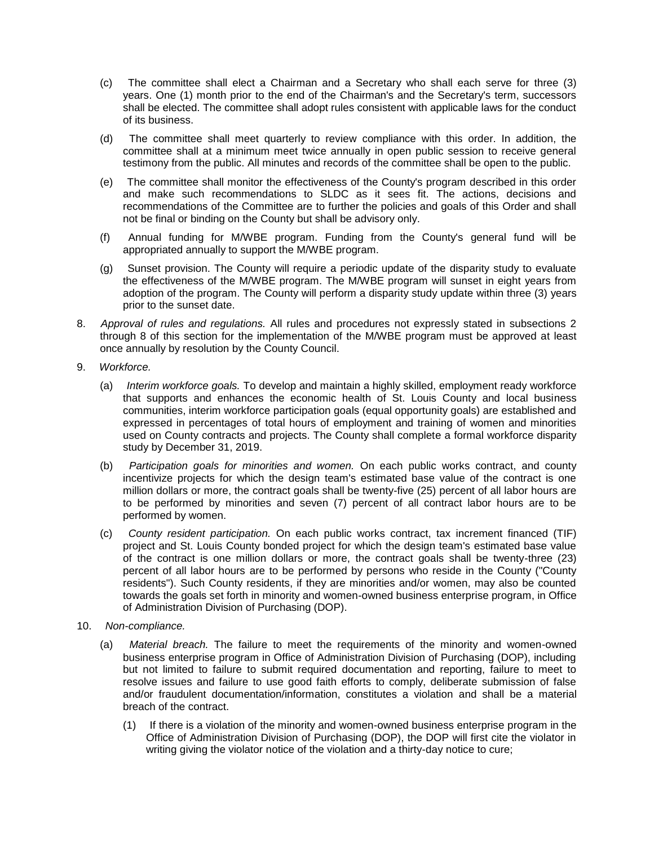- (c) The committee shall elect a Chairman and a Secretary who shall each serve for three (3) years. One (1) month prior to the end of the Chairman's and the Secretary's term, successors shall be elected. The committee shall adopt rules consistent with applicable laws for the conduct of its business.
- (d) The committee shall meet quarterly to review compliance with this order. In addition, the committee shall at a minimum meet twice annually in open public session to receive general testimony from the public. All minutes and records of the committee shall be open to the public.
- (e) The committee shall monitor the effectiveness of the County's program described in this order and make such recommendations to SLDC as it sees fit. The actions, decisions and recommendations of the Committee are to further the policies and goals of this Order and shall not be final or binding on the County but shall be advisory only.
- (f) Annual funding for M/WBE program. Funding from the County's general fund will be appropriated annually to support the M/WBE program.
- (g) Sunset provision. The County will require a periodic update of the disparity study to evaluate the effectiveness of the M/WBE program. The M/WBE program will sunset in eight years from adoption of the program. The County will perform a disparity study update within three (3) years prior to the sunset date.
- 8. *Approval of rules and regulations.* All rules and procedures not expressly stated in subsections 2 through 8 of this section for the implementation of the M/WBE program must be approved at least once annually by resolution by the County Council.
- 9. *Workforce.*
	- (a) *Interim workforce goals.* To develop and maintain a highly skilled, employment ready workforce that supports and enhances the economic health of St. Louis County and local business communities, interim workforce participation goals (equal opportunity goals) are established and expressed in percentages of total hours of employment and training of women and minorities used on County contracts and projects. The County shall complete a formal workforce disparity study by December 31, 2019.
	- (b) *Participation goals for minorities and women.* On each public works contract, and county incentivize projects for which the design team's estimated base value of the contract is one million dollars or more, the contract goals shall be twenty-five (25) percent of all labor hours are to be performed by minorities and seven (7) percent of all contract labor hours are to be performed by women.
	- (c) *County resident participation.* On each public works contract, tax increment financed (TIF) project and St. Louis County bonded project for which the design team's estimated base value of the contract is one million dollars or more, the contract goals shall be twenty-three (23) percent of all labor hours are to be performed by persons who reside in the County ("County residents"). Such County residents, if they are minorities and/or women, may also be counted towards the goals set forth in minority and women-owned business enterprise program, in Office of Administration Division of Purchasing (DOP).
- 10. *Non-compliance.*
	- (a) *Material breach.* The failure to meet the requirements of the minority and women-owned business enterprise program in Office of Administration Division of Purchasing (DOP), including but not limited to failure to submit required documentation and reporting, failure to meet to resolve issues and failure to use good faith efforts to comply, deliberate submission of false and/or fraudulent documentation/information, constitutes a violation and shall be a material breach of the contract.
		- (1) If there is a violation of the minority and women-owned business enterprise program in the Office of Administration Division of Purchasing (DOP), the DOP will first cite the violator in writing giving the violator notice of the violation and a thirty-day notice to cure;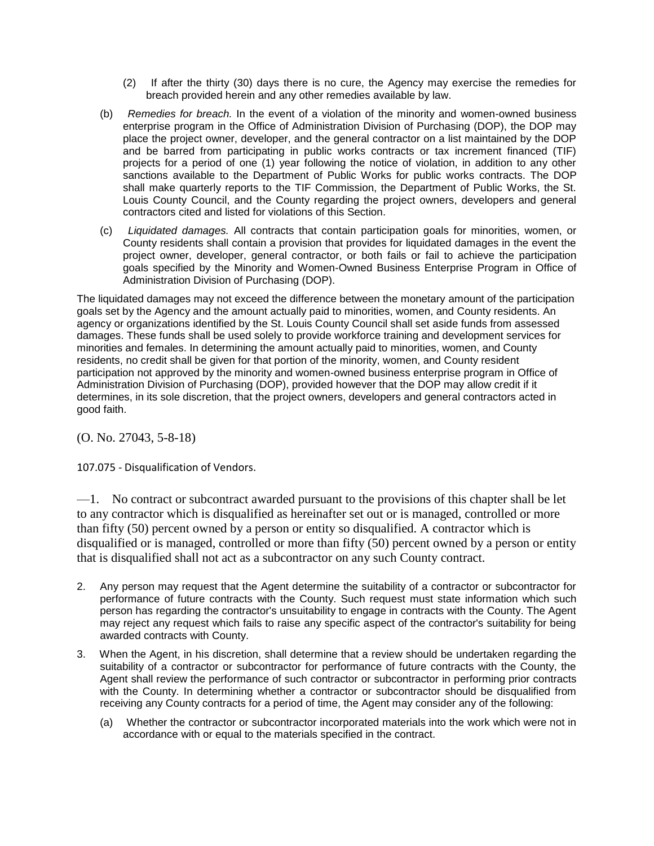- (2) If after the thirty (30) days there is no cure, the Agency may exercise the remedies for breach provided herein and any other remedies available by law.
- (b) *Remedies for breach.* In the event of a violation of the minority and women-owned business enterprise program in the Office of Administration Division of Purchasing (DOP), the DOP may place the project owner, developer, and the general contractor on a list maintained by the DOP and be barred from participating in public works contracts or tax increment financed (TIF) projects for a period of one (1) year following the notice of violation, in addition to any other sanctions available to the Department of Public Works for public works contracts. The DOP shall make quarterly reports to the TIF Commission, the Department of Public Works, the St. Louis County Council, and the County regarding the project owners, developers and general contractors cited and listed for violations of this Section.
- (c) *Liquidated damages.* All contracts that contain participation goals for minorities, women, or County residents shall contain a provision that provides for liquidated damages in the event the project owner, developer, general contractor, or both fails or fail to achieve the participation goals specified by the Minority and Women-Owned Business Enterprise Program in Office of Administration Division of Purchasing (DOP).

The liquidated damages may not exceed the difference between the monetary amount of the participation goals set by the Agency and the amount actually paid to minorities, women, and County residents. An agency or organizations identified by the St. Louis County Council shall set aside funds from assessed damages. These funds shall be used solely to provide workforce training and development services for minorities and females. In determining the amount actually paid to minorities, women, and County residents, no credit shall be given for that portion of the minority, women, and County resident participation not approved by the minority and women-owned business enterprise program in Office of Administration Division of Purchasing (DOP), provided however that the DOP may allow credit if it determines, in its sole discretion, that the project owners, developers and general contractors acted in good faith.

(O. No. 27043, 5-8-18)

107.075 - Disqualification of Vendors.

—1. No contract or subcontract awarded pursuant to the provisions of this chapter shall be let to any contractor which is disqualified as hereinafter set out or is managed, controlled or more than fifty (50) percent owned by a person or entity so disqualified. A contractor which is disqualified or is managed, controlled or more than fifty (50) percent owned by a person or entity that is disqualified shall not act as a subcontractor on any such County contract.

- 2. Any person may request that the Agent determine the suitability of a contractor or subcontractor for performance of future contracts with the County. Such request must state information which such person has regarding the contractor's unsuitability to engage in contracts with the County. The Agent may reject any request which fails to raise any specific aspect of the contractor's suitability for being awarded contracts with County.
- 3. When the Agent, in his discretion, shall determine that a review should be undertaken regarding the suitability of a contractor or subcontractor for performance of future contracts with the County, the Agent shall review the performance of such contractor or subcontractor in performing prior contracts with the County. In determining whether a contractor or subcontractor should be disqualified from receiving any County contracts for a period of time, the Agent may consider any of the following:
	- (a) Whether the contractor or subcontractor incorporated materials into the work which were not in accordance with or equal to the materials specified in the contract.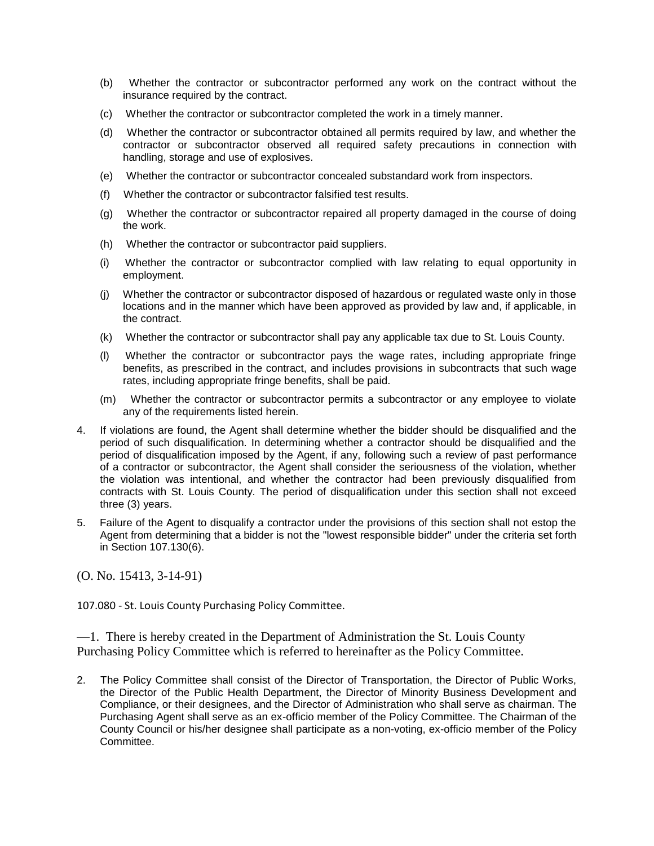- (b) Whether the contractor or subcontractor performed any work on the contract without the insurance required by the contract.
- (c) Whether the contractor or subcontractor completed the work in a timely manner.
- (d) Whether the contractor or subcontractor obtained all permits required by law, and whether the contractor or subcontractor observed all required safety precautions in connection with handling, storage and use of explosives.
- (e) Whether the contractor or subcontractor concealed substandard work from inspectors.
- (f) Whether the contractor or subcontractor falsified test results.
- (g) Whether the contractor or subcontractor repaired all property damaged in the course of doing the work.
- (h) Whether the contractor or subcontractor paid suppliers.
- (i) Whether the contractor or subcontractor complied with law relating to equal opportunity in employment.
- (j) Whether the contractor or subcontractor disposed of hazardous or regulated waste only in those locations and in the manner which have been approved as provided by law and, if applicable, in the contract.
- (k) Whether the contractor or subcontractor shall pay any applicable tax due to St. Louis County.
- (l) Whether the contractor or subcontractor pays the wage rates, including appropriate fringe benefits, as prescribed in the contract, and includes provisions in subcontracts that such wage rates, including appropriate fringe benefits, shall be paid.
- (m) Whether the contractor or subcontractor permits a subcontractor or any employee to violate any of the requirements listed herein.
- 4. If violations are found, the Agent shall determine whether the bidder should be disqualified and the period of such disqualification. In determining whether a contractor should be disqualified and the period of disqualification imposed by the Agent, if any, following such a review of past performance of a contractor or subcontractor, the Agent shall consider the seriousness of the violation, whether the violation was intentional, and whether the contractor had been previously disqualified from contracts with St. Louis County. The period of disqualification under this section shall not exceed three (3) years.
- 5. Failure of the Agent to disqualify a contractor under the provisions of this section shall not estop the Agent from determining that a bidder is not the "lowest responsible bidder" under the criteria set forth in Section 107.130(6).

(O. No. 15413, 3-14-91)

107.080 - St. Louis County Purchasing Policy Committee.

—1. There is hereby created in the Department of Administration the St. Louis County Purchasing Policy Committee which is referred to hereinafter as the Policy Committee.

2. The Policy Committee shall consist of the Director of Transportation, the Director of Public Works, the Director of the Public Health Department, the Director of Minority Business Development and Compliance, or their designees, and the Director of Administration who shall serve as chairman. The Purchasing Agent shall serve as an ex-officio member of the Policy Committee. The Chairman of the County Council or his/her designee shall participate as a non-voting, ex-officio member of the Policy Committee.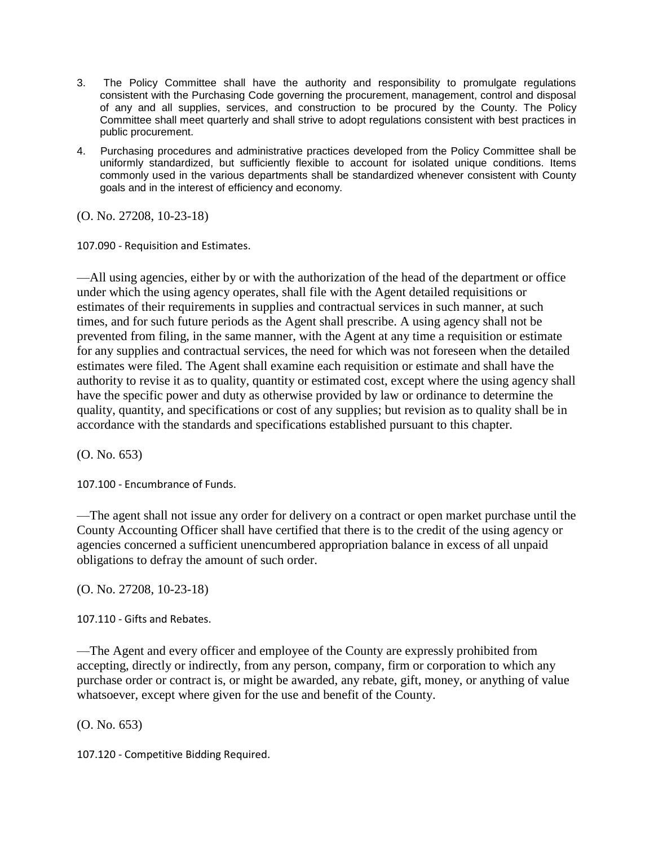- 3. The Policy Committee shall have the authority and responsibility to promulgate regulations consistent with the Purchasing Code governing the procurement, management, control and disposal of any and all supplies, services, and construction to be procured by the County. The Policy Committee shall meet quarterly and shall strive to adopt regulations consistent with best practices in public procurement.
- 4. Purchasing procedures and administrative practices developed from the Policy Committee shall be uniformly standardized, but sufficiently flexible to account for isolated unique conditions. Items commonly used in the various departments shall be standardized whenever consistent with County goals and in the interest of efficiency and economy.

(O. No. 27208, 10-23-18)

107.090 - Requisition and Estimates.

—All using agencies, either by or with the authorization of the head of the department or office under which the using agency operates, shall file with the Agent detailed requisitions or estimates of their requirements in supplies and contractual services in such manner, at such times, and for such future periods as the Agent shall prescribe. A using agency shall not be prevented from filing, in the same manner, with the Agent at any time a requisition or estimate for any supplies and contractual services, the need for which was not foreseen when the detailed estimates were filed. The Agent shall examine each requisition or estimate and shall have the authority to revise it as to quality, quantity or estimated cost, except where the using agency shall have the specific power and duty as otherwise provided by law or ordinance to determine the quality, quantity, and specifications or cost of any supplies; but revision as to quality shall be in accordance with the standards and specifications established pursuant to this chapter.

(O. No. 653)

107.100 - Encumbrance of Funds.

—The agent shall not issue any order for delivery on a contract or open market purchase until the County Accounting Officer shall have certified that there is to the credit of the using agency or agencies concerned a sufficient unencumbered appropriation balance in excess of all unpaid obligations to defray the amount of such order.

(O. No. 27208, 10-23-18)

107.110 - Gifts and Rebates.

—The Agent and every officer and employee of the County are expressly prohibited from accepting, directly or indirectly, from any person, company, firm or corporation to which any purchase order or contract is, or might be awarded, any rebate, gift, money, or anything of value whatsoever, except where given for the use and benefit of the County.

(O. No. 653)

107.120 - Competitive Bidding Required.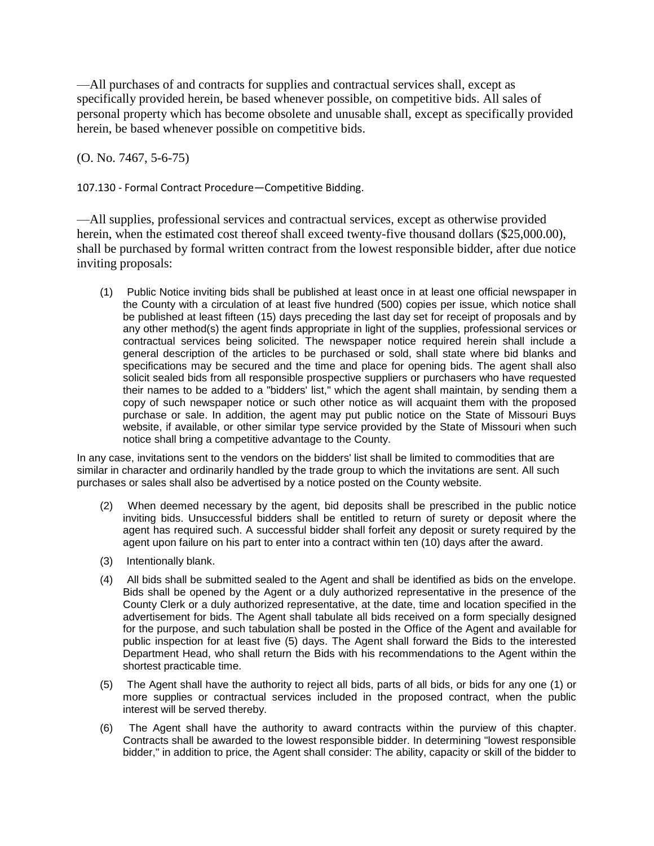—All purchases of and contracts for supplies and contractual services shall, except as specifically provided herein, be based whenever possible, on competitive bids. All sales of personal property which has become obsolete and unusable shall, except as specifically provided herein, be based whenever possible on competitive bids.

(O. No. 7467, 5-6-75)

107.130 - Formal Contract Procedure—Competitive Bidding.

—All supplies, professional services and contractual services, except as otherwise provided herein, when the estimated cost thereof shall exceed twenty-five thousand dollars (\$25,000.00), shall be purchased by formal written contract from the lowest responsible bidder, after due notice inviting proposals:

(1) Public Notice inviting bids shall be published at least once in at least one official newspaper in the County with a circulation of at least five hundred (500) copies per issue, which notice shall be published at least fifteen (15) days preceding the last day set for receipt of proposals and by any other method(s) the agent finds appropriate in light of the supplies, professional services or contractual services being solicited. The newspaper notice required herein shall include a general description of the articles to be purchased or sold, shall state where bid blanks and specifications may be secured and the time and place for opening bids. The agent shall also solicit sealed bids from all responsible prospective suppliers or purchasers who have requested their names to be added to a "bidders' list," which the agent shall maintain, by sending them a copy of such newspaper notice or such other notice as will acquaint them with the proposed purchase or sale. In addition, the agent may put public notice on the State of Missouri Buys website, if available, or other similar type service provided by the State of Missouri when such notice shall bring a competitive advantage to the County.

In any case, invitations sent to the vendors on the bidders' list shall be limited to commodities that are similar in character and ordinarily handled by the trade group to which the invitations are sent. All such purchases or sales shall also be advertised by a notice posted on the County website.

- (2) When deemed necessary by the agent, bid deposits shall be prescribed in the public notice inviting bids. Unsuccessful bidders shall be entitled to return of surety or deposit where the agent has required such. A successful bidder shall forfeit any deposit or surety required by the agent upon failure on his part to enter into a contract within ten (10) days after the award.
- (3) Intentionally blank.
- (4) All bids shall be submitted sealed to the Agent and shall be identified as bids on the envelope. Bids shall be opened by the Agent or a duly authorized representative in the presence of the County Clerk or a duly authorized representative, at the date, time and location specified in the advertisement for bids. The Agent shall tabulate all bids received on a form specially designed for the purpose, and such tabulation shall be posted in the Office of the Agent and available for public inspection for at least five (5) days. The Agent shall forward the Bids to the interested Department Head, who shall return the Bids with his recommendations to the Agent within the shortest practicable time.
- (5) The Agent shall have the authority to reject all bids, parts of all bids, or bids for any one (1) or more supplies or contractual services included in the proposed contract, when the public interest will be served thereby.
- (6) The Agent shall have the authority to award contracts within the purview of this chapter. Contracts shall be awarded to the lowest responsible bidder. In determining "lowest responsible bidder," in addition to price, the Agent shall consider: The ability, capacity or skill of the bidder to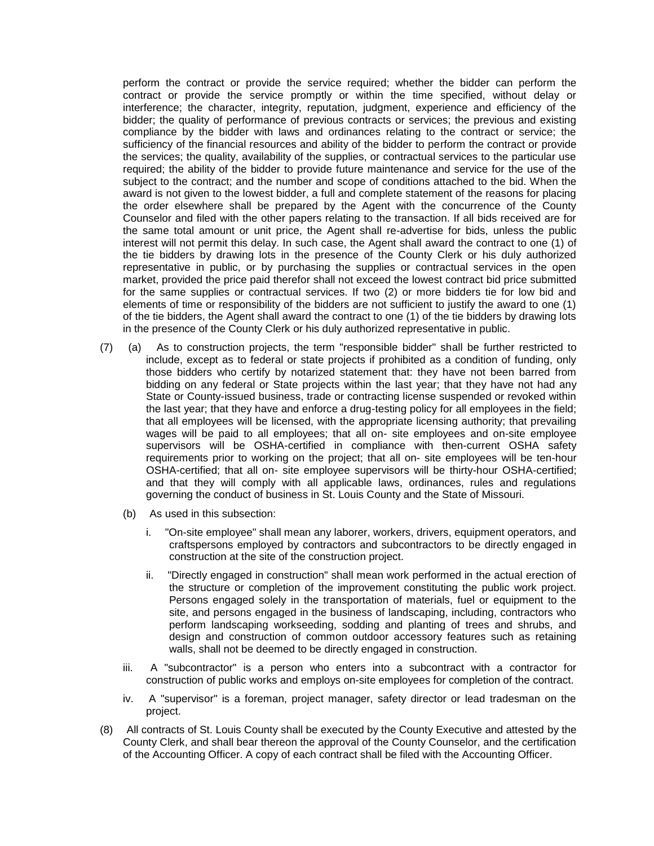perform the contract or provide the service required; whether the bidder can perform the contract or provide the service promptly or within the time specified, without delay or interference; the character, integrity, reputation, judgment, experience and efficiency of the bidder; the quality of performance of previous contracts or services; the previous and existing compliance by the bidder with laws and ordinances relating to the contract or service; the sufficiency of the financial resources and ability of the bidder to perform the contract or provide the services; the quality, availability of the supplies, or contractual services to the particular use required; the ability of the bidder to provide future maintenance and service for the use of the subject to the contract; and the number and scope of conditions attached to the bid. When the award is not given to the lowest bidder, a full and complete statement of the reasons for placing the order elsewhere shall be prepared by the Agent with the concurrence of the County Counselor and filed with the other papers relating to the transaction. If all bids received are for the same total amount or unit price, the Agent shall re-advertise for bids, unless the public interest will not permit this delay. In such case, the Agent shall award the contract to one (1) of the tie bidders by drawing lots in the presence of the County Clerk or his duly authorized representative in public, or by purchasing the supplies or contractual services in the open market, provided the price paid therefor shall not exceed the lowest contract bid price submitted for the same supplies or contractual services. If two (2) or more bidders tie for low bid and elements of time or responsibility of the bidders are not sufficient to justify the award to one (1) of the tie bidders, the Agent shall award the contract to one (1) of the tie bidders by drawing lots in the presence of the County Clerk or his duly authorized representative in public.

- (7) (a) As to construction projects, the term "responsible bidder" shall be further restricted to include, except as to federal or state projects if prohibited as a condition of funding, only those bidders who certify by notarized statement that: they have not been barred from bidding on any federal or State projects within the last year; that they have not had any State or County-issued business, trade or contracting license suspended or revoked within the last year; that they have and enforce a drug-testing policy for all employees in the field; that all employees will be licensed, with the appropriate licensing authority; that prevailing wages will be paid to all employees; that all on- site employees and on-site employee supervisors will be OSHA-certified in compliance with then-current OSHA safety requirements prior to working on the project; that all on- site employees will be ten-hour OSHA-certified; that all on- site employee supervisors will be thirty-hour OSHA-certified; and that they will comply with all applicable laws, ordinances, rules and regulations governing the conduct of business in St. Louis County and the State of Missouri.
	- (b) As used in this subsection:
		- i. "On-site employee" shall mean any laborer, workers, drivers, equipment operators, and craftspersons employed by contractors and subcontractors to be directly engaged in construction at the site of the construction project.
		- ii. "Directly engaged in construction" shall mean work performed in the actual erection of the structure or completion of the improvement constituting the public work project. Persons engaged solely in the transportation of materials, fuel or equipment to the site, and persons engaged in the business of landscaping, including, contractors who perform landscaping workseeding, sodding and planting of trees and shrubs, and design and construction of common outdoor accessory features such as retaining walls, shall not be deemed to be directly engaged in construction.
	- iii. A "subcontractor" is a person who enters into a subcontract with a contractor for construction of public works and employs on-site employees for completion of the contract.
	- iv. A "supervisor" is a foreman, project manager, safety director or lead tradesman on the project.
- (8) All contracts of St. Louis County shall be executed by the County Executive and attested by the County Clerk, and shall bear thereon the approval of the County Counselor, and the certification of the Accounting Officer. A copy of each contract shall be filed with the Accounting Officer.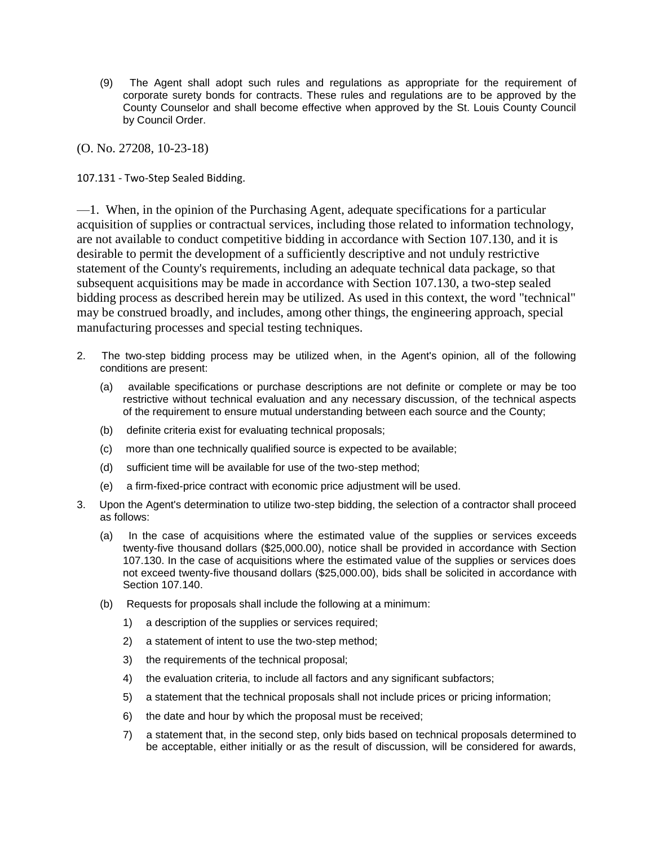(9) The Agent shall adopt such rules and regulations as appropriate for the requirement of corporate surety bonds for contracts. These rules and regulations are to be approved by the County Counselor and shall become effective when approved by the St. Louis County Council by Council Order.

(O. No. 27208, 10-23-18)

107.131 - Two-Step Sealed Bidding.

—1. When, in the opinion of the Purchasing Agent, adequate specifications for a particular acquisition of supplies or contractual services, including those related to information technology, are not available to conduct competitive bidding in accordance with Section 107.130, and it is desirable to permit the development of a sufficiently descriptive and not unduly restrictive statement of the County's requirements, including an adequate technical data package, so that subsequent acquisitions may be made in accordance with Section 107.130, a two-step sealed bidding process as described herein may be utilized. As used in this context, the word "technical" may be construed broadly, and includes, among other things, the engineering approach, special manufacturing processes and special testing techniques.

- 2. The two-step bidding process may be utilized when, in the Agent's opinion, all of the following conditions are present:
	- (a) available specifications or purchase descriptions are not definite or complete or may be too restrictive without technical evaluation and any necessary discussion, of the technical aspects of the requirement to ensure mutual understanding between each source and the County;
	- (b) definite criteria exist for evaluating technical proposals;
	- (c) more than one technically qualified source is expected to be available;
	- (d) sufficient time will be available for use of the two-step method;
	- (e) a firm-fixed-price contract with economic price adjustment will be used.
- 3. Upon the Agent's determination to utilize two-step bidding, the selection of a contractor shall proceed as follows:
	- (a) In the case of acquisitions where the estimated value of the supplies or services exceeds twenty-five thousand dollars (\$25,000.00), notice shall be provided in accordance with Section 107.130. In the case of acquisitions where the estimated value of the supplies or services does not exceed twenty-five thousand dollars (\$25,000.00), bids shall be solicited in accordance with Section 107.140.
	- (b) Requests for proposals shall include the following at a minimum:
		- 1) a description of the supplies or services required;
		- 2) a statement of intent to use the two-step method;
		- 3) the requirements of the technical proposal;
		- 4) the evaluation criteria, to include all factors and any significant subfactors;
		- 5) a statement that the technical proposals shall not include prices or pricing information;
		- 6) the date and hour by which the proposal must be received;
		- 7) a statement that, in the second step, only bids based on technical proposals determined to be acceptable, either initially or as the result of discussion, will be considered for awards,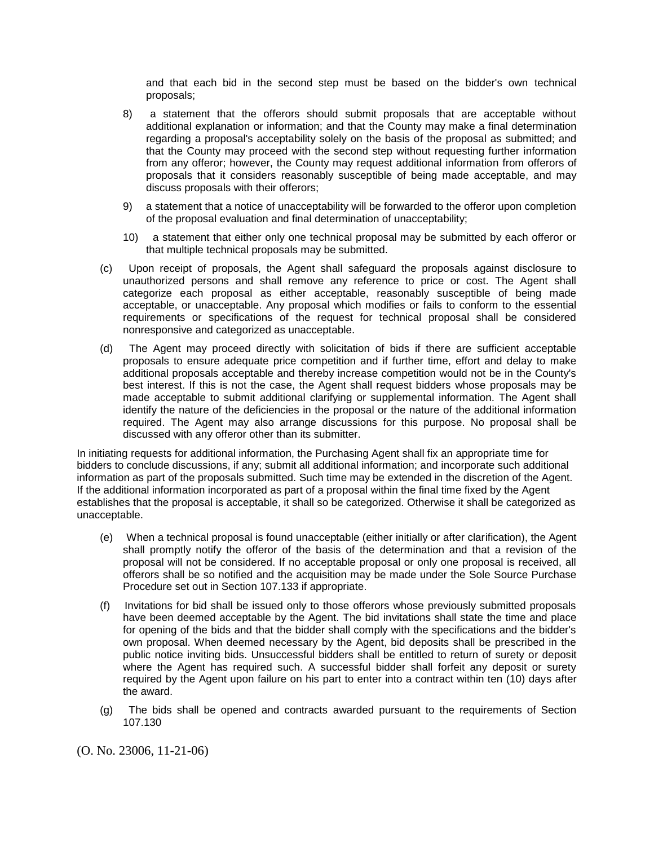and that each bid in the second step must be based on the bidder's own technical proposals;

- 8) a statement that the offerors should submit proposals that are acceptable without additional explanation or information; and that the County may make a final determination regarding a proposal's acceptability solely on the basis of the proposal as submitted; and that the County may proceed with the second step without requesting further information from any offeror; however, the County may request additional information from offerors of proposals that it considers reasonably susceptible of being made acceptable, and may discuss proposals with their offerors;
- 9) a statement that a notice of unacceptability will be forwarded to the offeror upon completion of the proposal evaluation and final determination of unacceptability;
- 10) a statement that either only one technical proposal may be submitted by each offeror or that multiple technical proposals may be submitted.
- (c) Upon receipt of proposals, the Agent shall safeguard the proposals against disclosure to unauthorized persons and shall remove any reference to price or cost. The Agent shall categorize each proposal as either acceptable, reasonably susceptible of being made acceptable, or unacceptable. Any proposal which modifies or fails to conform to the essential requirements or specifications of the request for technical proposal shall be considered nonresponsive and categorized as unacceptable.
- (d) The Agent may proceed directly with solicitation of bids if there are sufficient acceptable proposals to ensure adequate price competition and if further time, effort and delay to make additional proposals acceptable and thereby increase competition would not be in the County's best interest. If this is not the case, the Agent shall request bidders whose proposals may be made acceptable to submit additional clarifying or supplemental information. The Agent shall identify the nature of the deficiencies in the proposal or the nature of the additional information required. The Agent may also arrange discussions for this purpose. No proposal shall be discussed with any offeror other than its submitter.

In initiating requests for additional information, the Purchasing Agent shall fix an appropriate time for bidders to conclude discussions, if any; submit all additional information; and incorporate such additional information as part of the proposals submitted. Such time may be extended in the discretion of the Agent. If the additional information incorporated as part of a proposal within the final time fixed by the Agent establishes that the proposal is acceptable, it shall so be categorized. Otherwise it shall be categorized as unacceptable.

- (e) When a technical proposal is found unacceptable (either initially or after clarification), the Agent shall promptly notify the offeror of the basis of the determination and that a revision of the proposal will not be considered. If no acceptable proposal or only one proposal is received, all offerors shall be so notified and the acquisition may be made under the Sole Source Purchase Procedure set out in Section 107.133 if appropriate.
- (f) Invitations for bid shall be issued only to those offerors whose previously submitted proposals have been deemed acceptable by the Agent. The bid invitations shall state the time and place for opening of the bids and that the bidder shall comply with the specifications and the bidder's own proposal. When deemed necessary by the Agent, bid deposits shall be prescribed in the public notice inviting bids. Unsuccessful bidders shall be entitled to return of surety or deposit where the Agent has required such. A successful bidder shall forfeit any deposit or surety required by the Agent upon failure on his part to enter into a contract within ten (10) days after the award.
- (g) The bids shall be opened and contracts awarded pursuant to the requirements of Section 107.130

(O. No. 23006, 11-21-06)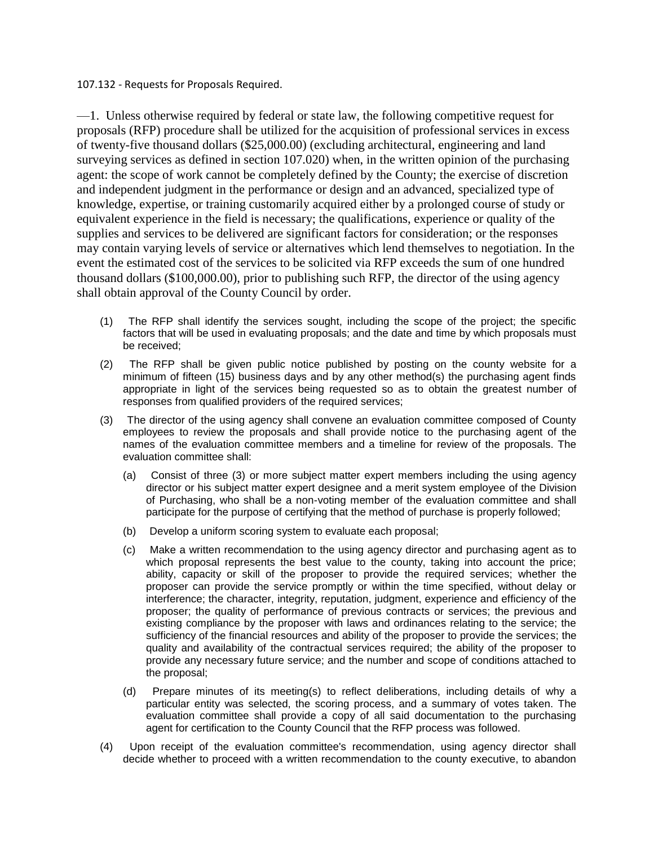107.132 - Requests for Proposals Required.

—1. Unless otherwise required by federal or state law, the following competitive request for proposals (RFP) procedure shall be utilized for the acquisition of professional services in excess of twenty-five thousand dollars (\$25,000.00) (excluding architectural, engineering and land surveying services as defined in section 107.020) when, in the written opinion of the purchasing agent: the scope of work cannot be completely defined by the County; the exercise of discretion and independent judgment in the performance or design and an advanced, specialized type of knowledge, expertise, or training customarily acquired either by a prolonged course of study or equivalent experience in the field is necessary; the qualifications, experience or quality of the supplies and services to be delivered are significant factors for consideration; or the responses may contain varying levels of service or alternatives which lend themselves to negotiation. In the event the estimated cost of the services to be solicited via RFP exceeds the sum of one hundred thousand dollars (\$100,000.00), prior to publishing such RFP, the director of the using agency shall obtain approval of the County Council by order.

- (1) The RFP shall identify the services sought, including the scope of the project; the specific factors that will be used in evaluating proposals; and the date and time by which proposals must be received;
- (2) The RFP shall be given public notice published by posting on the county website for a minimum of fifteen (15) business days and by any other method(s) the purchasing agent finds appropriate in light of the services being requested so as to obtain the greatest number of responses from qualified providers of the required services;
- (3) The director of the using agency shall convene an evaluation committee composed of County employees to review the proposals and shall provide notice to the purchasing agent of the names of the evaluation committee members and a timeline for review of the proposals. The evaluation committee shall:
	- (a) Consist of three (3) or more subject matter expert members including the using agency director or his subject matter expert designee and a merit system employee of the Division of Purchasing, who shall be a non-voting member of the evaluation committee and shall participate for the purpose of certifying that the method of purchase is properly followed;
	- (b) Develop a uniform scoring system to evaluate each proposal;
	- (c) Make a written recommendation to the using agency director and purchasing agent as to which proposal represents the best value to the county, taking into account the price; ability, capacity or skill of the proposer to provide the required services; whether the proposer can provide the service promptly or within the time specified, without delay or interference; the character, integrity, reputation, judgment, experience and efficiency of the proposer; the quality of performance of previous contracts or services; the previous and existing compliance by the proposer with laws and ordinances relating to the service; the sufficiency of the financial resources and ability of the proposer to provide the services; the quality and availability of the contractual services required; the ability of the proposer to provide any necessary future service; and the number and scope of conditions attached to the proposal;
	- (d) Prepare minutes of its meeting(s) to reflect deliberations, including details of why a particular entity was selected, the scoring process, and a summary of votes taken. The evaluation committee shall provide a copy of all said documentation to the purchasing agent for certification to the County Council that the RFP process was followed.
- (4) Upon receipt of the evaluation committee's recommendation, using agency director shall decide whether to proceed with a written recommendation to the county executive, to abandon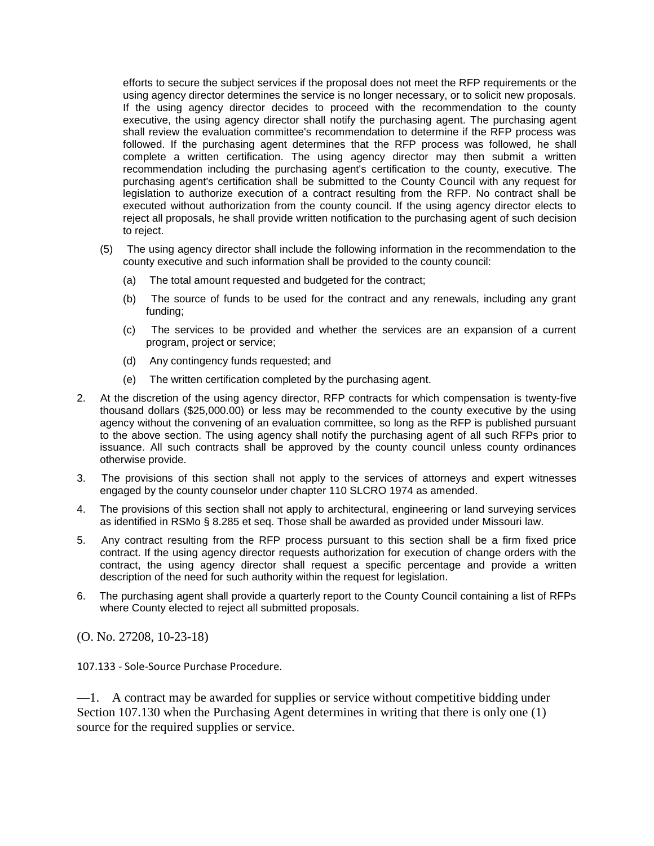efforts to secure the subject services if the proposal does not meet the RFP requirements or the using agency director determines the service is no longer necessary, or to solicit new proposals. If the using agency director decides to proceed with the recommendation to the county executive, the using agency director shall notify the purchasing agent. The purchasing agent shall review the evaluation committee's recommendation to determine if the RFP process was followed. If the purchasing agent determines that the RFP process was followed, he shall complete a written certification. The using agency director may then submit a written recommendation including the purchasing agent's certification to the county, executive. The purchasing agent's certification shall be submitted to the County Council with any request for legislation to authorize execution of a contract resulting from the RFP. No contract shall be executed without authorization from the county council. If the using agency director elects to reject all proposals, he shall provide written notification to the purchasing agent of such decision to reject.

- (5) The using agency director shall include the following information in the recommendation to the county executive and such information shall be provided to the county council:
	- (a) The total amount requested and budgeted for the contract;
	- (b) The source of funds to be used for the contract and any renewals, including any grant funding;
	- (c) The services to be provided and whether the services are an expansion of a current program, project or service;
	- (d) Any contingency funds requested; and
	- (e) The written certification completed by the purchasing agent.
- 2. At the discretion of the using agency director, RFP contracts for which compensation is twenty-five thousand dollars (\$25,000.00) or less may be recommended to the county executive by the using agency without the convening of an evaluation committee, so long as the RFP is published pursuant to the above section. The using agency shall notify the purchasing agent of all such RFPs prior to issuance. All such contracts shall be approved by the county council unless county ordinances otherwise provide.
- 3. The provisions of this section shall not apply to the services of attorneys and expert witnesses engaged by the county counselor under chapter 110 SLCRO 1974 as amended.
- 4. The provisions of this section shall not apply to architectural, engineering or land surveying services as identified in RSMo § 8.285 et seq. Those shall be awarded as provided under Missouri law.
- 5. Any contract resulting from the RFP process pursuant to this section shall be a firm fixed price contract. If the using agency director requests authorization for execution of change orders with the contract, the using agency director shall request a specific percentage and provide a written description of the need for such authority within the request for legislation.
- 6. The purchasing agent shall provide a quarterly report to the County Council containing a list of RFPs where County elected to reject all submitted proposals.

(O. No. 27208, 10-23-18)

107.133 - Sole-Source Purchase Procedure.

—1. A contract may be awarded for supplies or service without competitive bidding under Section 107.130 when the Purchasing Agent determines in writing that there is only one (1) source for the required supplies or service.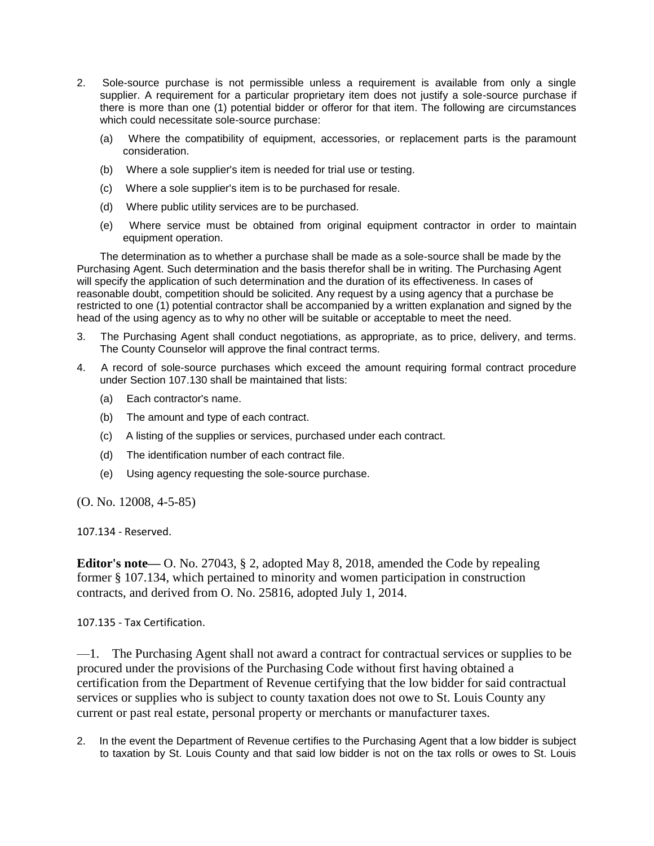- 2. Sole-source purchase is not permissible unless a requirement is available from only a single supplier. A requirement for a particular proprietary item does not justify a sole-source purchase if there is more than one (1) potential bidder or offeror for that item. The following are circumstances which could necessitate sole-source purchase:
	- (a) Where the compatibility of equipment, accessories, or replacement parts is the paramount consideration.
	- (b) Where a sole supplier's item is needed for trial use or testing.
	- (c) Where a sole supplier's item is to be purchased for resale.
	- (d) Where public utility services are to be purchased.
	- (e) Where service must be obtained from original equipment contractor in order to maintain equipment operation.

The determination as to whether a purchase shall be made as a sole-source shall be made by the Purchasing Agent. Such determination and the basis therefor shall be in writing. The Purchasing Agent will specify the application of such determination and the duration of its effectiveness. In cases of reasonable doubt, competition should be solicited. Any request by a using agency that a purchase be restricted to one (1) potential contractor shall be accompanied by a written explanation and signed by the head of the using agency as to why no other will be suitable or acceptable to meet the need.

- 3. The Purchasing Agent shall conduct negotiations, as appropriate, as to price, delivery, and terms. The County Counselor will approve the final contract terms.
- 4. A record of sole-source purchases which exceed the amount requiring formal contract procedure under Section 107.130 shall be maintained that lists:
	- (a) Each contractor's name.
	- (b) The amount and type of each contract.
	- (c) A listing of the supplies or services, purchased under each contract.
	- (d) The identification number of each contract file.
	- (e) Using agency requesting the sole-source purchase.

(O. No. 12008, 4-5-85)

107.134 - Reserved.

**Editor's note—** O. No. 27043, § 2, adopted May 8, 2018, amended the Code by repealing former § 107.134, which pertained to minority and women participation in construction contracts, and derived from O. No. 25816, adopted July 1, 2014.

107.135 - Tax Certification.

—1. The Purchasing Agent shall not award a contract for contractual services or supplies to be procured under the provisions of the Purchasing Code without first having obtained a certification from the Department of Revenue certifying that the low bidder for said contractual services or supplies who is subject to county taxation does not owe to St. Louis County any current or past real estate, personal property or merchants or manufacturer taxes.

2. In the event the Department of Revenue certifies to the Purchasing Agent that a low bidder is subject to taxation by St. Louis County and that said low bidder is not on the tax rolls or owes to St. Louis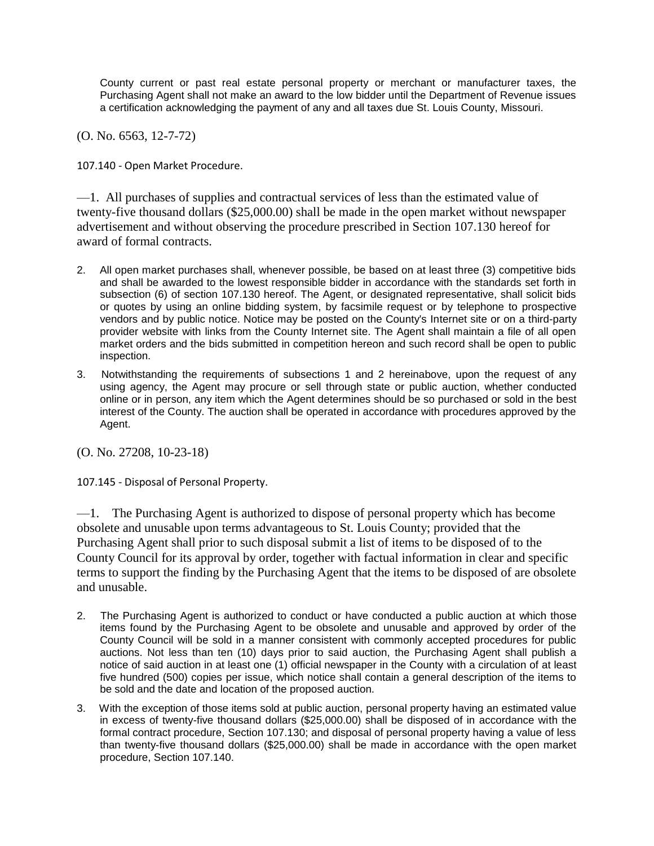County current or past real estate personal property or merchant or manufacturer taxes, the Purchasing Agent shall not make an award to the low bidder until the Department of Revenue issues a certification acknowledging the payment of any and all taxes due St. Louis County, Missouri.

(O. No. 6563, 12-7-72)

107.140 - Open Market Procedure.

—1. All purchases of supplies and contractual services of less than the estimated value of twenty-five thousand dollars (\$25,000.00) shall be made in the open market without newspaper advertisement and without observing the procedure prescribed in Section 107.130 hereof for award of formal contracts.

- 2. All open market purchases shall, whenever possible, be based on at least three (3) competitive bids and shall be awarded to the lowest responsible bidder in accordance with the standards set forth in subsection (6) of section 107.130 hereof. The Agent, or designated representative, shall solicit bids or quotes by using an online bidding system, by facsimile request or by telephone to prospective vendors and by public notice. Notice may be posted on the County's Internet site or on a third-party provider website with links from the County Internet site. The Agent shall maintain a file of all open market orders and the bids submitted in competition hereon and such record shall be open to public inspection.
- 3. Notwithstanding the requirements of subsections 1 and 2 hereinabove, upon the request of any using agency, the Agent may procure or sell through state or public auction, whether conducted online or in person, any item which the Agent determines should be so purchased or sold in the best interest of the County. The auction shall be operated in accordance with procedures approved by the Agent.

(O. No. 27208, 10-23-18)

107.145 - Disposal of Personal Property.

—1. The Purchasing Agent is authorized to dispose of personal property which has become obsolete and unusable upon terms advantageous to St. Louis County; provided that the Purchasing Agent shall prior to such disposal submit a list of items to be disposed of to the County Council for its approval by order, together with factual information in clear and specific terms to support the finding by the Purchasing Agent that the items to be disposed of are obsolete and unusable.

- 2. The Purchasing Agent is authorized to conduct or have conducted a public auction at which those items found by the Purchasing Agent to be obsolete and unusable and approved by order of the County Council will be sold in a manner consistent with commonly accepted procedures for public auctions. Not less than ten (10) days prior to said auction, the Purchasing Agent shall publish a notice of said auction in at least one (1) official newspaper in the County with a circulation of at least five hundred (500) copies per issue, which notice shall contain a general description of the items to be sold and the date and location of the proposed auction.
- 3. With the exception of those items sold at public auction, personal property having an estimated value in excess of twenty-five thousand dollars (\$25,000.00) shall be disposed of in accordance with the formal contract procedure, Section 107.130; and disposal of personal property having a value of less than twenty-five thousand dollars (\$25,000.00) shall be made in accordance with the open market procedure, Section 107.140.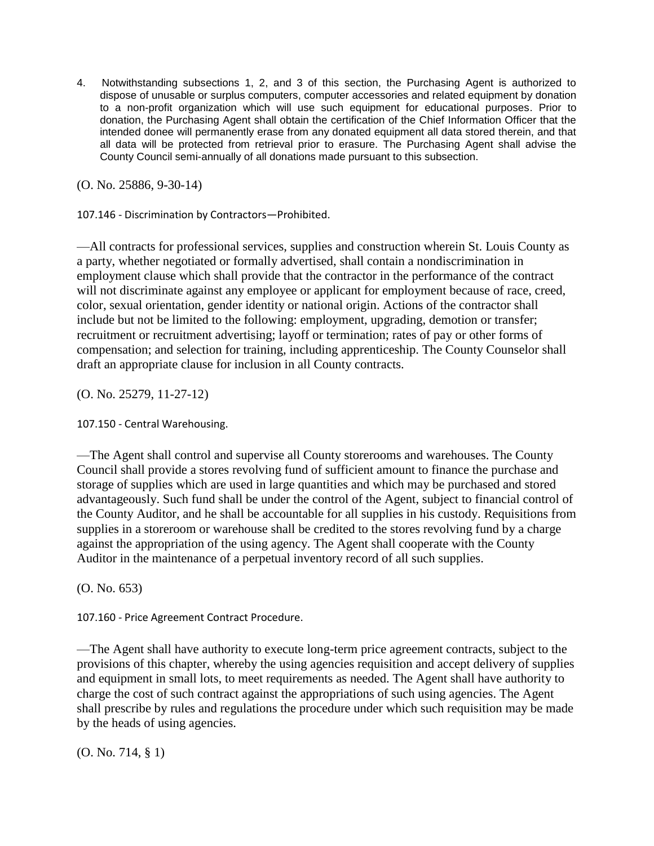4. Notwithstanding subsections 1, 2, and 3 of this section, the Purchasing Agent is authorized to dispose of unusable or surplus computers, computer accessories and related equipment by donation to a non-profit organization which will use such equipment for educational purposes. Prior to donation, the Purchasing Agent shall obtain the certification of the Chief Information Officer that the intended donee will permanently erase from any donated equipment all data stored therein, and that all data will be protected from retrieval prior to erasure. The Purchasing Agent shall advise the County Council semi-annually of all donations made pursuant to this subsection.

(O. No. 25886, 9-30-14)

107.146 - Discrimination by Contractors—Prohibited.

—All contracts for professional services, supplies and construction wherein St. Louis County as a party, whether negotiated or formally advertised, shall contain a nondiscrimination in employment clause which shall provide that the contractor in the performance of the contract will not discriminate against any employee or applicant for employment because of race, creed, color, sexual orientation, gender identity or national origin. Actions of the contractor shall include but not be limited to the following: employment, upgrading, demotion or transfer; recruitment or recruitment advertising; layoff or termination; rates of pay or other forms of compensation; and selection for training, including apprenticeship. The County Counselor shall draft an appropriate clause for inclusion in all County contracts.

(O. No. 25279, 11-27-12)

107.150 - Central Warehousing.

—The Agent shall control and supervise all County storerooms and warehouses. The County Council shall provide a stores revolving fund of sufficient amount to finance the purchase and storage of supplies which are used in large quantities and which may be purchased and stored advantageously. Such fund shall be under the control of the Agent, subject to financial control of the County Auditor, and he shall be accountable for all supplies in his custody. Requisitions from supplies in a storeroom or warehouse shall be credited to the stores revolving fund by a charge against the appropriation of the using agency. The Agent shall cooperate with the County Auditor in the maintenance of a perpetual inventory record of all such supplies.

(O. No. 653)

107.160 - Price Agreement Contract Procedure.

—The Agent shall have authority to execute long-term price agreement contracts, subject to the provisions of this chapter, whereby the using agencies requisition and accept delivery of supplies and equipment in small lots, to meet requirements as needed. The Agent shall have authority to charge the cost of such contract against the appropriations of such using agencies. The Agent shall prescribe by rules and regulations the procedure under which such requisition may be made by the heads of using agencies.

(O. No. 714, § 1)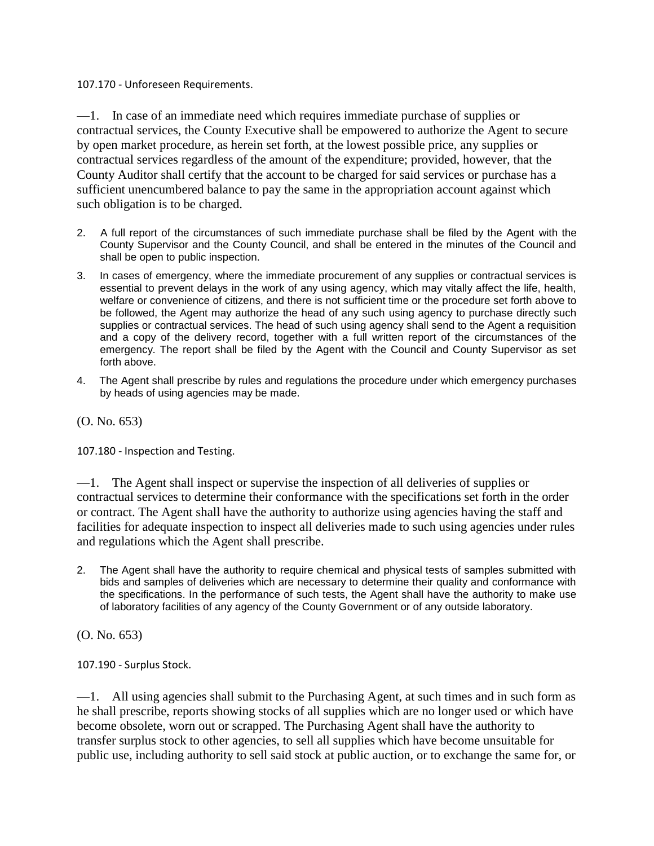107.170 - Unforeseen Requirements.

—1. In case of an immediate need which requires immediate purchase of supplies or contractual services, the County Executive shall be empowered to authorize the Agent to secure by open market procedure, as herein set forth, at the lowest possible price, any supplies or contractual services regardless of the amount of the expenditure; provided, however, that the County Auditor shall certify that the account to be charged for said services or purchase has a sufficient unencumbered balance to pay the same in the appropriation account against which such obligation is to be charged.

- 2. A full report of the circumstances of such immediate purchase shall be filed by the Agent with the County Supervisor and the County Council, and shall be entered in the minutes of the Council and shall be open to public inspection.
- 3. In cases of emergency, where the immediate procurement of any supplies or contractual services is essential to prevent delays in the work of any using agency, which may vitally affect the life, health, welfare or convenience of citizens, and there is not sufficient time or the procedure set forth above to be followed, the Agent may authorize the head of any such using agency to purchase directly such supplies or contractual services. The head of such using agency shall send to the Agent a requisition and a copy of the delivery record, together with a full written report of the circumstances of the emergency. The report shall be filed by the Agent with the Council and County Supervisor as set forth above.
- 4. The Agent shall prescribe by rules and regulations the procedure under which emergency purchases by heads of using agencies may be made.

(O. No. 653)

107.180 - Inspection and Testing.

—1. The Agent shall inspect or supervise the inspection of all deliveries of supplies or contractual services to determine their conformance with the specifications set forth in the order or contract. The Agent shall have the authority to authorize using agencies having the staff and facilities for adequate inspection to inspect all deliveries made to such using agencies under rules and regulations which the Agent shall prescribe.

2. The Agent shall have the authority to require chemical and physical tests of samples submitted with bids and samples of deliveries which are necessary to determine their quality and conformance with the specifications. In the performance of such tests, the Agent shall have the authority to make use of laboratory facilities of any agency of the County Government or of any outside laboratory.

(O. No. 653)

107.190 - Surplus Stock.

—1. All using agencies shall submit to the Purchasing Agent, at such times and in such form as he shall prescribe, reports showing stocks of all supplies which are no longer used or which have become obsolete, worn out or scrapped. The Purchasing Agent shall have the authority to transfer surplus stock to other agencies, to sell all supplies which have become unsuitable for public use, including authority to sell said stock at public auction, or to exchange the same for, or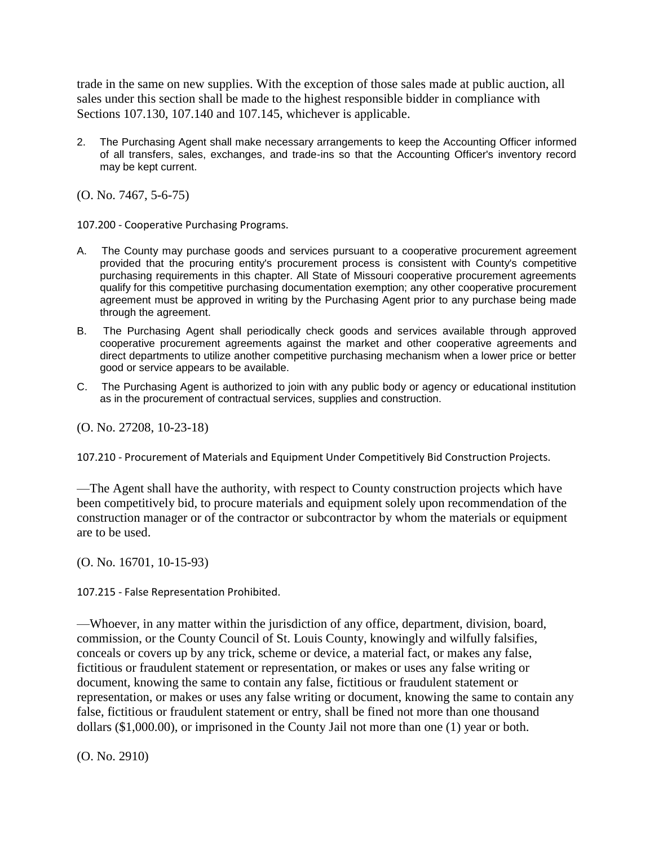trade in the same on new supplies. With the exception of those sales made at public auction, all sales under this section shall be made to the highest responsible bidder in compliance with Sections 107.130, 107.140 and 107.145, whichever is applicable.

2. The Purchasing Agent shall make necessary arrangements to keep the Accounting Officer informed of all transfers, sales, exchanges, and trade-ins so that the Accounting Officer's inventory record may be kept current.

(O. No. 7467, 5-6-75)

107.200 - Cooperative Purchasing Programs.

- A. The County may purchase goods and services pursuant to a cooperative procurement agreement provided that the procuring entity's procurement process is consistent with County's competitive purchasing requirements in this chapter. All State of Missouri cooperative procurement agreements qualify for this competitive purchasing documentation exemption; any other cooperative procurement agreement must be approved in writing by the Purchasing Agent prior to any purchase being made through the agreement.
- B. The Purchasing Agent shall periodically check goods and services available through approved cooperative procurement agreements against the market and other cooperative agreements and direct departments to utilize another competitive purchasing mechanism when a lower price or better good or service appears to be available.
- C. The Purchasing Agent is authorized to join with any public body or agency or educational institution as in the procurement of contractual services, supplies and construction.

(O. No. 27208, 10-23-18)

107.210 - Procurement of Materials and Equipment Under Competitively Bid Construction Projects.

—The Agent shall have the authority, with respect to County construction projects which have been competitively bid, to procure materials and equipment solely upon recommendation of the construction manager or of the contractor or subcontractor by whom the materials or equipment are to be used.

(O. No. 16701, 10-15-93)

107.215 - False Representation Prohibited.

—Whoever, in any matter within the jurisdiction of any office, department, division, board, commission, or the County Council of St. Louis County, knowingly and wilfully falsifies, conceals or covers up by any trick, scheme or device, a material fact, or makes any false, fictitious or fraudulent statement or representation, or makes or uses any false writing or document, knowing the same to contain any false, fictitious or fraudulent statement or representation, or makes or uses any false writing or document, knowing the same to contain any false, fictitious or fraudulent statement or entry, shall be fined not more than one thousand dollars (\$1,000.00), or imprisoned in the County Jail not more than one (1) year or both.

(O. No. 2910)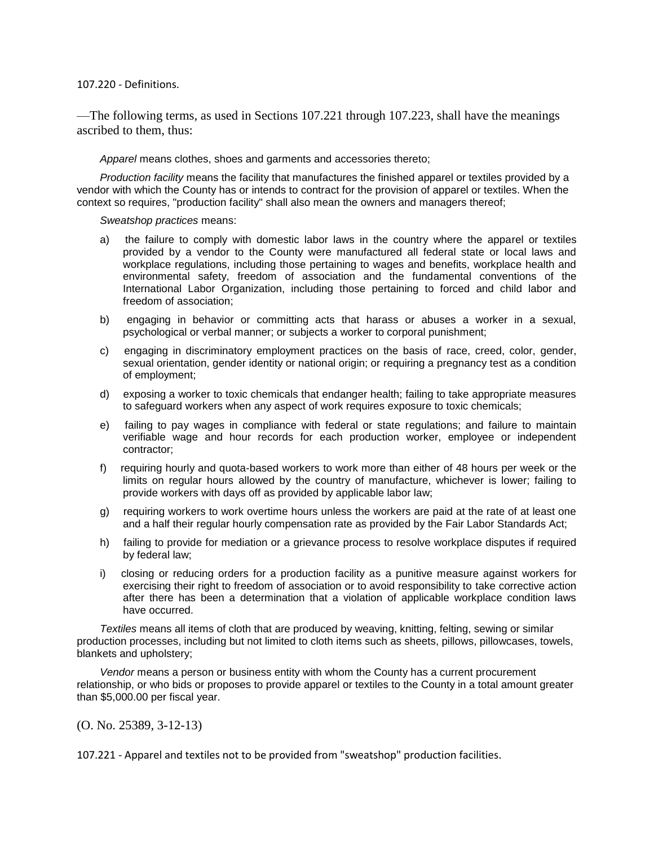## 107.220 - Definitions.

—The following terms, as used in Sections 107.221 through 107.223, shall have the meanings ascribed to them, thus:

*Apparel* means clothes, shoes and garments and accessories thereto;

*Production facility* means the facility that manufactures the finished apparel or textiles provided by a vendor with which the County has or intends to contract for the provision of apparel or textiles. When the context so requires, "production facility" shall also mean the owners and managers thereof;

*Sweatshop practices* means:

- a) the failure to comply with domestic labor laws in the country where the apparel or textiles provided by a vendor to the County were manufactured all federal state or local laws and workplace regulations, including those pertaining to wages and benefits, workplace health and environmental safety, freedom of association and the fundamental conventions of the International Labor Organization, including those pertaining to forced and child labor and freedom of association;
- b) engaging in behavior or committing acts that harass or abuses a worker in a sexual, psychological or verbal manner; or subjects a worker to corporal punishment;
- c) engaging in discriminatory employment practices on the basis of race, creed, color, gender, sexual orientation, gender identity or national origin; or requiring a pregnancy test as a condition of employment;
- d) exposing a worker to toxic chemicals that endanger health; failing to take appropriate measures to safeguard workers when any aspect of work requires exposure to toxic chemicals;
- e) failing to pay wages in compliance with federal or state regulations; and failure to maintain verifiable wage and hour records for each production worker, employee or independent contractor;
- f) requiring hourly and quota-based workers to work more than either of 48 hours per week or the limits on regular hours allowed by the country of manufacture, whichever is lower; failing to provide workers with days off as provided by applicable labor law;
- g) requiring workers to work overtime hours unless the workers are paid at the rate of at least one and a half their regular hourly compensation rate as provided by the Fair Labor Standards Act;
- h) failing to provide for mediation or a grievance process to resolve workplace disputes if required by federal law;
- i) closing or reducing orders for a production facility as a punitive measure against workers for exercising their right to freedom of association or to avoid responsibility to take corrective action after there has been a determination that a violation of applicable workplace condition laws have occurred.

*Textiles* means all items of cloth that are produced by weaving, knitting, felting, sewing or similar production processes, including but not limited to cloth items such as sheets, pillows, pillowcases, towels, blankets and upholstery;

*Vendor* means a person or business entity with whom the County has a current procurement relationship, or who bids or proposes to provide apparel or textiles to the County in a total amount greater than \$5,000.00 per fiscal year.

(O. No. 25389, 3-12-13)

107.221 - Apparel and textiles not to be provided from "sweatshop" production facilities.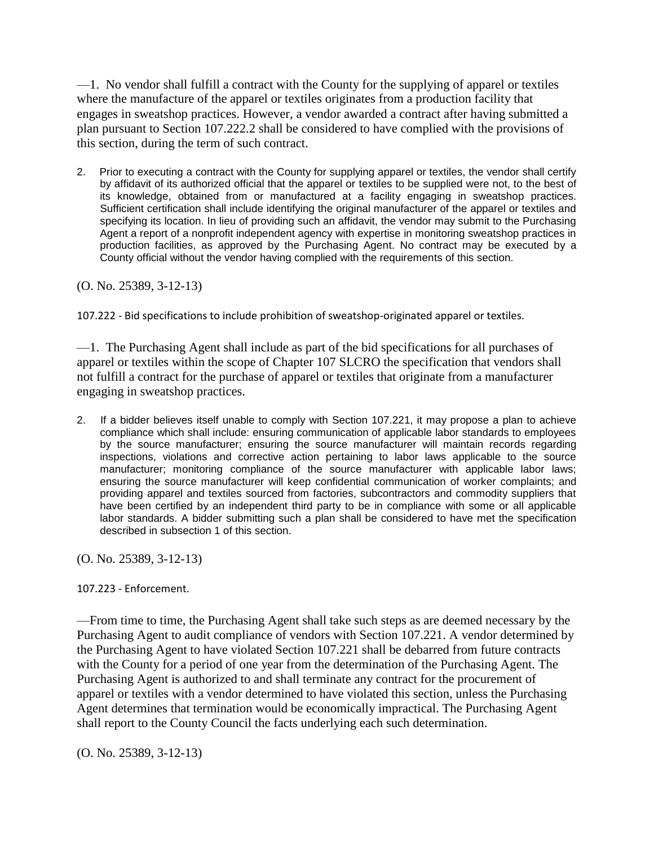—1. No vendor shall fulfill a contract with the County for the supplying of apparel or textiles where the manufacture of the apparel or textiles originates from a production facility that engages in sweatshop practices. However, a vendor awarded a contract after having submitted a plan pursuant to Section 107.222.2 shall be considered to have complied with the provisions of this section, during the term of such contract.

2. Prior to executing a contract with the County for supplying apparel or textiles, the vendor shall certify by affidavit of its authorized official that the apparel or textiles to be supplied were not, to the best of its knowledge, obtained from or manufactured at a facility engaging in sweatshop practices. Sufficient certification shall include identifying the original manufacturer of the apparel or textiles and specifying its location. In lieu of providing such an affidavit, the vendor may submit to the Purchasing Agent a report of a nonprofit independent agency with expertise in monitoring sweatshop practices in production facilities, as approved by the Purchasing Agent. No contract may be executed by a County official without the vendor having complied with the requirements of this section.

(O. No. 25389, 3-12-13)

107.222 - Bid specifications to include prohibition of sweatshop-originated apparel or textiles.

—1. The Purchasing Agent shall include as part of the bid specifications for all purchases of apparel or textiles within the scope of Chapter 107 SLCRO the specification that vendors shall not fulfill a contract for the purchase of apparel or textiles that originate from a manufacturer engaging in sweatshop practices.

2. If a bidder believes itself unable to comply with Section 107.221, it may propose a plan to achieve compliance which shall include: ensuring communication of applicable labor standards to employees by the source manufacturer; ensuring the source manufacturer will maintain records regarding inspections, violations and corrective action pertaining to labor laws applicable to the source manufacturer; monitoring compliance of the source manufacturer with applicable labor laws; ensuring the source manufacturer will keep confidential communication of worker complaints; and providing apparel and textiles sourced from factories, subcontractors and commodity suppliers that have been certified by an independent third party to be in compliance with some or all applicable labor standards. A bidder submitting such a plan shall be considered to have met the specification described in subsection 1 of this section.

(O. No. 25389, 3-12-13)

## 107.223 - Enforcement.

—From time to time, the Purchasing Agent shall take such steps as are deemed necessary by the Purchasing Agent to audit compliance of vendors with Section 107.221. A vendor determined by the Purchasing Agent to have violated Section 107.221 shall be debarred from future contracts with the County for a period of one year from the determination of the Purchasing Agent. The Purchasing Agent is authorized to and shall terminate any contract for the procurement of apparel or textiles with a vendor determined to have violated this section, unless the Purchasing Agent determines that termination would be economically impractical. The Purchasing Agent shall report to the County Council the facts underlying each such determination.

(O. No. 25389, 3-12-13)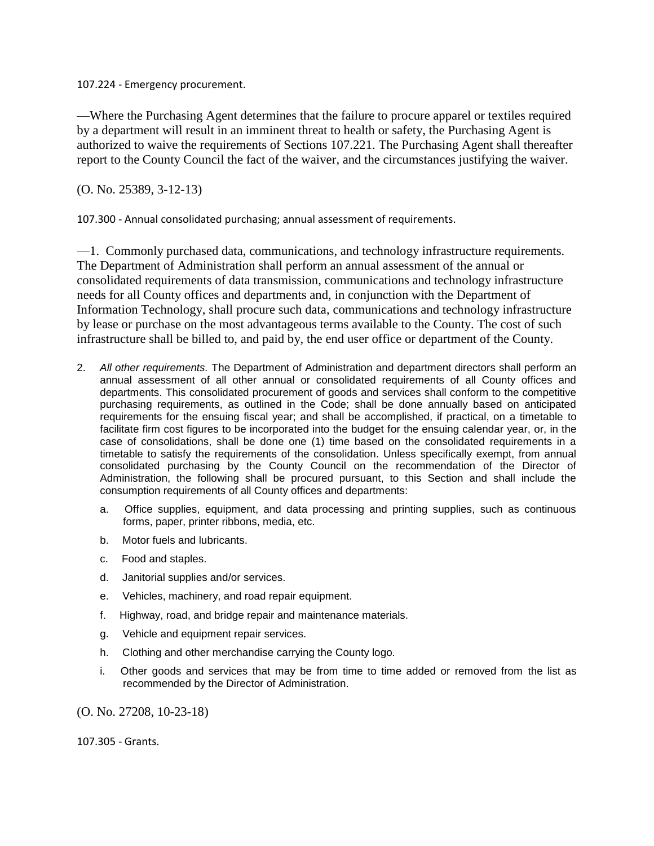107.224 - Emergency procurement.

—Where the Purchasing Agent determines that the failure to procure apparel or textiles required by a department will result in an imminent threat to health or safety, the Purchasing Agent is authorized to waive the requirements of Sections 107.221. The Purchasing Agent shall thereafter report to the County Council the fact of the waiver, and the circumstances justifying the waiver.

(O. No. 25389, 3-12-13)

107.300 - Annual consolidated purchasing; annual assessment of requirements.

—1. Commonly purchased data, communications, and technology infrastructure requirements. The Department of Administration shall perform an annual assessment of the annual or consolidated requirements of data transmission, communications and technology infrastructure needs for all County offices and departments and, in conjunction with the Department of Information Technology, shall procure such data, communications and technology infrastructure by lease or purchase on the most advantageous terms available to the County. The cost of such infrastructure shall be billed to, and paid by, the end user office or department of the County.

- 2. *All other requirements.* The Department of Administration and department directors shall perform an annual assessment of all other annual or consolidated requirements of all County offices and departments. This consolidated procurement of goods and services shall conform to the competitive purchasing requirements, as outlined in the Code; shall be done annually based on anticipated requirements for the ensuing fiscal year; and shall be accomplished, if practical, on a timetable to facilitate firm cost figures to be incorporated into the budget for the ensuing calendar year, or, in the case of consolidations, shall be done one (1) time based on the consolidated requirements in a timetable to satisfy the requirements of the consolidation. Unless specifically exempt, from annual consolidated purchasing by the County Council on the recommendation of the Director of Administration, the following shall be procured pursuant, to this Section and shall include the consumption requirements of all County offices and departments:
	- a. Office supplies, equipment, and data processing and printing supplies, such as continuous forms, paper, printer ribbons, media, etc.
	- b. Motor fuels and lubricants.
	- c. Food and staples.
	- d. Janitorial supplies and/or services.
	- e. Vehicles, machinery, and road repair equipment.
	- f. Highway, road, and bridge repair and maintenance materials.
	- g. Vehicle and equipment repair services.
	- h. Clothing and other merchandise carrying the County logo.
	- i. Other goods and services that may be from time to time added or removed from the list as recommended by the Director of Administration.

(O. No. 27208, 10-23-18)

107.305 - Grants.